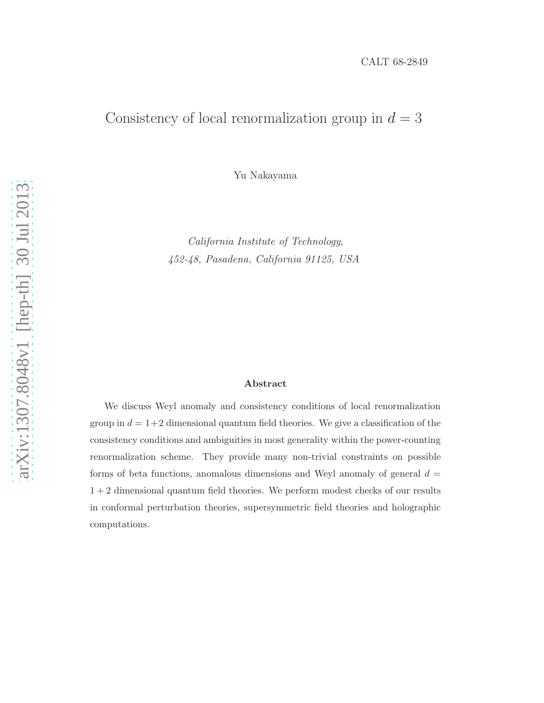## Consistency of local renormalization group in  $d = 3$

Yu Nakayama

California Institute of Technology, 452-48, Pasadena, California 91125, USA

#### Abstract

We discuss Weyl anomaly and consistency conditions of local renormalization group in  $d = 1+2$  dimensional quantum field theories. We give a classification of the consistency conditions and ambiguities in most generality within the power-counting renormalization scheme. They provide many non-trivial constraints on possible forms of beta functions, anomalous dimensions and Weyl anomaly of general  $d =$ 1 + 2 dimensional quantum field theories. We perform modest checks of our results in conformal perturbation theories, supersymmetric field theories and holographic computations.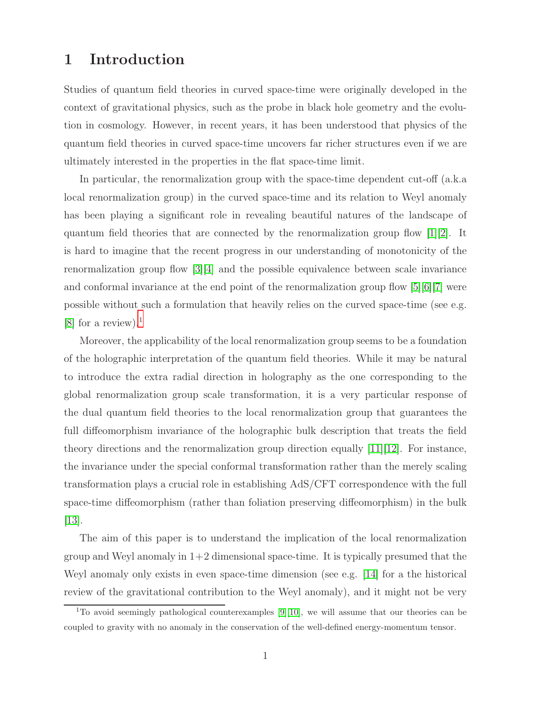## 1 Introduction

Studies of quantum field theories in curved space-time were originally developed in the context of gravitational physics, such as the probe in black hole geometry and the evolution in cosmology. However, in recent years, it has been understood that physics of the quantum field theories in curved space-time uncovers far richer structures even if we are ultimately interested in the properties in the flat space-time limit.

In particular, the renormalization group with the space-time dependent cut-off (a.k.a local renormalization group) in the curved space-time and its relation to Weyl anomaly has been playing a significant role in revealing beautiful natures of the landscape of quantum field theories that are connected by the renormalization group flow  $[1][2]$  $[1][2]$ . It is hard to imagine that the recent progress in our understanding of monotonicity of the renormalization group flow  $\lceil 3 \rceil \lceil 4 \rceil$  and the possible equivalence between scale invariance and conformal invariance at the end point of the renormalization group flow  $[5][6][7]$  $[5][6][7]$  $[5][6][7]$  were possible without such a formulation that heavily relies on the curved space-time (see e.g. [\[8\]](#page-38-2) for a review).<sup>[1](#page-1-0)</sup>

Moreover, the applicability of the local renormalization group seems to be a foundation of the holographic interpretation of the quantum field theories. While it may be natural to introduce the extra radial direction in holography as the one corresponding to the global renormalization group scale transformation, it is a very particular response of the dual quantum field theories to the local renormalization group that guarantees the full diffeomorphism invariance of the holographic bulk description that treats the field theory directions and the renormalization group direction equally [\[11\]](#page-38-3)[\[12\]](#page-38-4). For instance, the invariance under the special conformal transformation rather than the merely scaling transformation plays a crucial role in establishing AdS/CFT correspondence with the full space-time diffeomorphism (rather than foliation preserving diffeomorphism) in the bulk  $|13|$ .

The aim of this paper is to understand the implication of the local renormalization group and Weyl anomaly in  $1+2$  dimensional space-time. It is typically presumed that the Weyl anomaly only exists in even space-time dimension (see e.g. [\[14\]](#page-38-6) for a the historical review of the gravitational contribution to the Weyl anomaly), and it might not be very

<span id="page-1-0"></span> $\overline{1}$  To avoid seemingly pathological counterexamples [\[9\]](#page-38-7)[\[10\]](#page-38-8), we will assume that our theories can be coupled to gravity with no anomaly in the conservation of the well-defined energy-momentum tensor.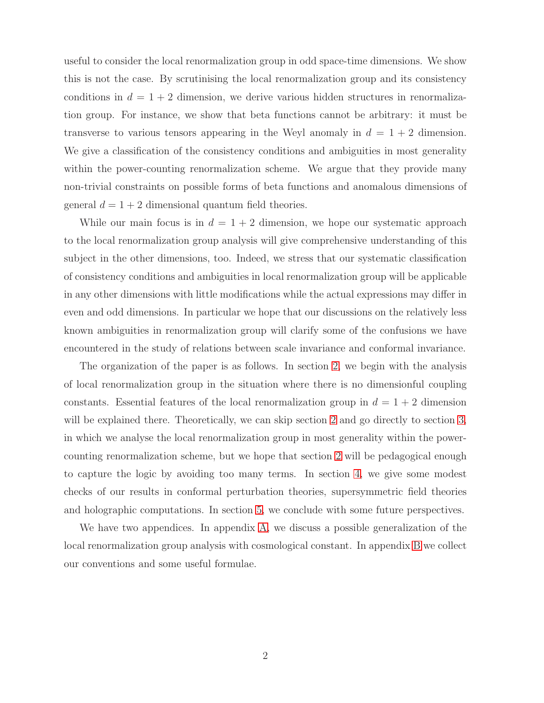useful to consider the local renormalization group in odd space-time dimensions. We show this is not the case. By scrutinising the local renormalization group and its consistency conditions in  $d = 1 + 2$  dimension, we derive various hidden structures in renormalization group. For instance, we show that beta functions cannot be arbitrary: it must be transverse to various tensors appearing in the Weyl anomaly in  $d = 1 + 2$  dimension. We give a classification of the consistency conditions and ambiguities in most generality within the power-counting renormalization scheme. We argue that they provide many non-trivial constraints on possible forms of beta functions and anomalous dimensions of general  $d = 1 + 2$  dimensional quantum field theories.

While our main focus is in  $d = 1 + 2$  dimension, we hope our systematic approach to the local renormalization group analysis will give comprehensive understanding of this subject in the other dimensions, too. Indeed, we stress that our systematic classification of consistency conditions and ambiguities in local renormalization group will be applicable in any other dimensions with little modifications while the actual expressions may differ in even and odd dimensions. In particular we hope that our discussions on the relatively less known ambiguities in renormalization group will clarify some of the confusions we have encountered in the study of relations between scale invariance and conformal invariance.

The organization of the paper is as follows. In section [2,](#page-3-0) we begin with the analysis of local renormalization group in the situation where there is no dimensionful coupling constants. Essential features of the local renormalization group in  $d = 1 + 2$  dimension will be explained there. Theoretically, we can skip section [2](#page-3-0) and go directly to section [3,](#page-14-0) in which we analyse the local renormalization group in most generality within the powercounting renormalization scheme, but we hope that section [2](#page-3-0) will be pedagogical enough to capture the logic by avoiding too many terms. In section [4,](#page-23-0) we give some modest checks of our results in conformal perturbation theories, supersymmetric field theories and holographic computations. In section [5,](#page-33-0) we conclude with some future perspectives.

We have two appendices. In appendix [A,](#page-34-0) we discuss a possible generalization of the local renormalization group analysis with cosmological constant. In appendix [B](#page-36-0) we collect our conventions and some useful formulae.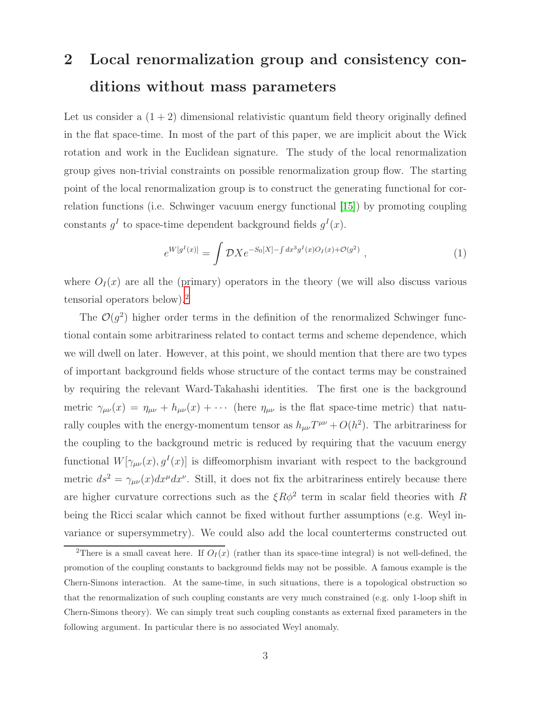# <span id="page-3-0"></span>2 Local renormalization group and consistency conditions without mass parameters

Let us consider a  $(1 + 2)$  dimensional relativistic quantum field theory originally defined in the flat space-time. In most of the part of this paper, we are implicit about the Wick rotation and work in the Euclidean signature. The study of the local renormalization group gives non-trivial constraints on possible renormalization group flow. The starting point of the local renormalization group is to construct the generating functional for correlation functions (i.e. Schwinger vacuum energy functional [\[15\]](#page-38-9)) by promoting coupling constants  $g^I$  to space-time dependent background fields  $g^I(x)$ .

$$
e^{W[g^I(x)]} = \int \mathcal{D}X e^{-S_0[X] - \int dx^3 g^I(x)O_I(x) + \mathcal{O}(g^2)}, \qquad (1)
$$

where  $O_I(x)$  are all the (primary) operators in the theory (we will also discuss various tensorial operators below).[2](#page-3-1)

The  $\mathcal{O}(g^2)$  higher order terms in the definition of the renormalized Schwinger functional contain some arbitrariness related to contact terms and scheme dependence, which we will dwell on later. However, at this point, we should mention that there are two types of important background fields whose structure of the contact terms may be constrained by requiring the relevant Ward-Takahashi identities. The first one is the background metric  $\gamma_{\mu\nu}(x) = \eta_{\mu\nu} + h_{\mu\nu}(x) + \cdots$  (here  $\eta_{\mu\nu}$  is the flat space-time metric) that naturally couples with the energy-momentum tensor as  $h_{\mu\nu}T^{\mu\nu} + O(h^2)$ . The arbitrariness for the coupling to the background metric is reduced by requiring that the vacuum energy functional  $W[\gamma_{\mu\nu}(x), g^I(x)]$  is diffeomorphism invariant with respect to the background metric  $ds^2 = \gamma_{\mu\nu}(x)dx^{\mu}dx^{\nu}$ . Still, it does not fix the arbitrariness entirely because there are higher curvature corrections such as the  $\xi R\phi^2$  term in scalar field theories with R being the Ricci scalar which cannot be fixed without further assumptions (e.g. Weyl invariance or supersymmetry). We could also add the local counterterms constructed out

<span id="page-3-1"></span><sup>&</sup>lt;sup>2</sup>There is a small caveat here. If  $O_I(x)$  (rather than its space-time integral) is not well-defined, the promotion of the coupling constants to background fields may not be possible. A famous example is the Chern-Simons interaction. At the same-time, in such situations, there is a topological obstruction so that the renormalization of such coupling constants are very much constrained (e.g. only 1-loop shift in Chern-Simons theory). We can simply treat such coupling constants as external fixed parameters in the following argument. In particular there is no associated Weyl anomaly.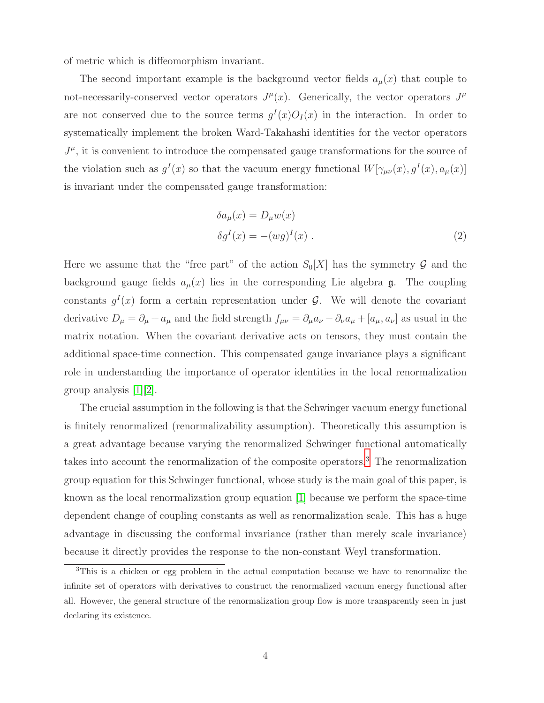of metric which is diffeomorphism invariant.

The second important example is the background vector fields  $a_{\mu}(x)$  that couple to not-necessarily-conserved vector operators  $J^{\mu}(x)$ . Generically, the vector operators  $J^{\mu}$ are not conserved due to the source terms  $g<sup>I</sup>(x)O<sub>I</sub>(x)$  in the interaction. In order to systematically implement the broken Ward-Takahashi identities for the vector operators  $J^{\mu}$ , it is convenient to introduce the compensated gauge transformations for the source of the violation such as  $g^I(x)$  so that the vacuum energy functional  $W[\gamma_{\mu\nu}(x), g^I(x), a_{\mu}(x)]$ is invariant under the compensated gauge transformation:

<span id="page-4-1"></span>
$$
\delta a_{\mu}(x) = D_{\mu} w(x)
$$
  
\n
$$
\delta g^{I}(x) = -(wg)^{I}(x) .
$$
\n(2)

Here we assume that the "free part" of the action  $S_0[X]$  has the symmetry  $\mathcal G$  and the background gauge fields  $a_{\mu}(x)$  lies in the corresponding Lie algebra g. The coupling constants  $g^I(x)$  form a certain representation under  $\mathcal{G}$ . We will denote the covariant derivative  $D_{\mu} = \partial_{\mu} + a_{\mu}$  and the field strength  $f_{\mu\nu} = \partial_{\mu}a_{\nu} - \partial_{\nu}a_{\mu} + [a_{\mu}, a_{\nu}]$  as usual in the matrix notation. When the covariant derivative acts on tensors, they must contain the additional space-time connection. This compensated gauge invariance plays a significant role in understanding the importance of operator identities in the local renormalization group analysis [\[1\]](#page-37-0)[\[2\]](#page-37-1).

The crucial assumption in the following is that the Schwinger vacuum energy functional is finitely renormalized (renormalizability assumption). Theoretically this assumption is a great advantage because varying the renormalized Schwinger functional automatically takes into account the renormalization of the composite operators.[3](#page-4-0) The renormalization group equation for this Schwinger functional, whose study is the main goal of this paper, is known as the local renormalization group equation [\[1\]](#page-37-0) because we perform the space-time dependent change of coupling constants as well as renormalization scale. This has a huge advantage in discussing the conformal invariance (rather than merely scale invariance) because it directly provides the response to the non-constant Weyl transformation.

<span id="page-4-0"></span><sup>&</sup>lt;sup>3</sup>This is a chicken or egg problem in the actual computation because we have to renormalize the infinite set of operators with derivatives to construct the renormalized vacuum energy functional after all. However, the general structure of the renormalization group flow is more transparently seen in just declaring its existence.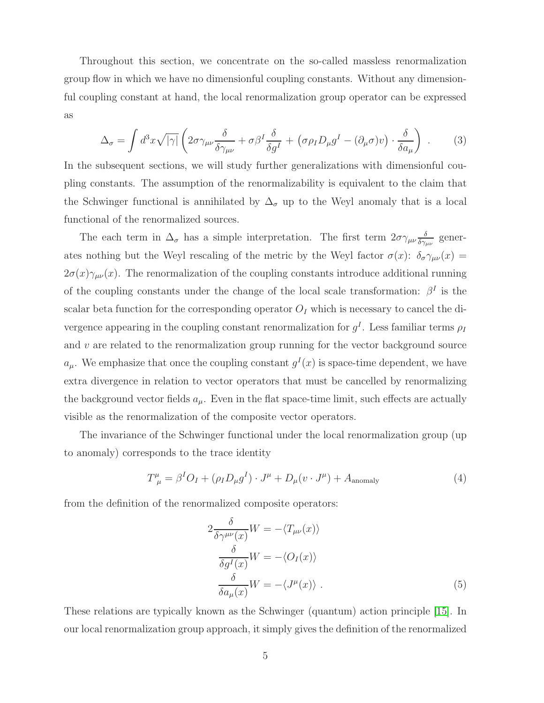Throughout this section, we concentrate on the so-called massless renormalization group flow in which we have no dimensionful coupling constants. Without any dimensionful coupling constant at hand, the local renormalization group operator can be expressed as

$$
\Delta_{\sigma} = \int d^{3}x \sqrt{|\gamma|} \left( 2\sigma \gamma_{\mu\nu} \frac{\delta}{\delta \gamma_{\mu\nu}} + \sigma \beta^{I} \frac{\delta}{\delta g^{I}} + \left( \sigma \rho_{I} D_{\mu} g^{I} - (\partial_{\mu} \sigma) v \right) \cdot \frac{\delta}{\delta a_{\mu}} \right) . \tag{3}
$$

In the subsequent sections, we will study further generalizations with dimensionful coupling constants. The assumption of the renormalizability is equivalent to the claim that the Schwinger functional is annihilated by  $\Delta_{\sigma}$  up to the Weyl anomaly that is a local functional of the renormalized sources.

The each term in  $\Delta_{\sigma}$  has a simple interpretation. The first term  $2\sigma\gamma_{\mu\nu}\frac{\delta}{\delta\gamma_{\nu}}$  $\frac{\delta}{\delta\gamma_{\mu\nu}}$  generates nothing but the Weyl rescaling of the metric by the Weyl factor  $\sigma(x)$ :  $\delta_{\sigma} \gamma_{\mu\nu}(x) =$  $2\sigma(x)\gamma_{\mu\nu}(x)$ . The renormalization of the coupling constants introduce additional running of the coupling constants under the change of the local scale transformation:  $\beta^I$  is the scalar beta function for the corresponding operator  $O<sub>I</sub>$  which is necessary to cancel the divergence appearing in the coupling constant renormalization for  $g^I$ . Less familiar terms  $\rho_I$ and  $v$  are related to the renormalization group running for the vector background source  $a_{\mu}$ . We emphasize that once the coupling constant  $g^{I}(x)$  is space-time dependent, we have extra divergence in relation to vector operators that must be cancelled by renormalizing the background vector fields  $a_{\mu}$ . Even in the flat space-time limit, such effects are actually visible as the renormalization of the composite vector operators.

The invariance of the Schwinger functional under the local renormalization group (up to anomaly) corresponds to the trace identity

$$
T^{\mu}_{\ \mu} = \beta^{I}O_{I} + (\rho_{I}D_{\mu}g^{I}) \cdot J^{\mu} + D_{\mu}(v \cdot J^{\mu}) + A_{\text{anomaly}} \tag{4}
$$

from the definition of the renormalized composite operators:

<span id="page-5-0"></span>
$$
2\frac{\delta}{\delta\gamma^{\mu\nu}(x)}W = -\langle T_{\mu\nu}(x)\rangle
$$
  
\n
$$
\frac{\delta}{\delta g^{I}(x)}W = -\langle O_{I}(x)\rangle
$$
  
\n
$$
\frac{\delta}{\delta a_{\mu}(x)}W = -\langle J^{\mu}(x)\rangle.
$$
\n(5)

These relations are typically known as the Schwinger (quantum) action principle [\[15\]](#page-38-9). In our local renormalization group approach, it simply gives the definition of the renormalized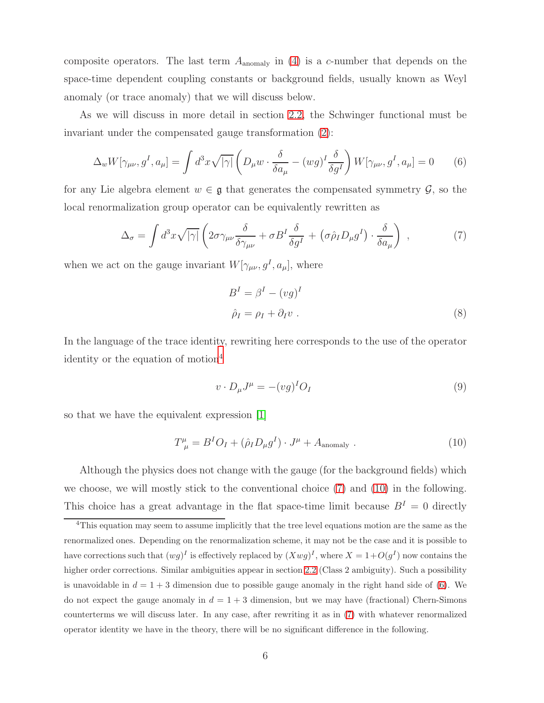composite operators. The last term  $A_{\text{anomaly}}$  in [\(4\)](#page-5-0) is a c-number that depends on the space-time dependent coupling constants or background fields, usually known as Weyl anomaly (or trace anomaly) that we will discuss below.

As we will discuss in more detail in section [2.2,](#page-10-0) the Schwinger functional must be invariant under the compensated gauge transformation [\(2\)](#page-4-1):

$$
\Delta_w W[\gamma_{\mu\nu}, g^I, a_\mu] = \int d^3x \sqrt{|\gamma|} \left( D_\mu w \cdot \frac{\delta}{\delta a_\mu} - (wg)^I \frac{\delta}{\delta g^I} \right) W[\gamma_{\mu\nu}, g^I, a_\mu] = 0 \tag{6}
$$

for any Lie algebra element  $w \in \mathfrak{g}$  that generates the compensated symmetry  $\mathcal{G}$ , so the local renormalization group operator can be equivalently rewritten as

$$
\Delta_{\sigma} = \int d^3x \sqrt{|\gamma|} \left( 2\sigma \gamma_{\mu\nu} \frac{\delta}{\delta \gamma_{\mu\nu}} + \sigma B^I \frac{\delta}{\delta g^I} + \left( \sigma \hat{\rho}_I D_\mu g^I \right) \cdot \frac{\delta}{\delta a_\mu} \right) , \qquad (7)
$$

when we act on the gauge invariant  $W[\gamma_{\mu\nu}, g^I, a_\mu]$ , where

<span id="page-6-3"></span><span id="page-6-1"></span>
$$
BI = \betaI - (vg)I
$$
  

$$
\hat{\rho}_I = \rho_I + \partial_I v .
$$
 (8)

In the language of the trace identity, rewriting here corresponds to the use of the operator identity or the equation of motion<sup>[4](#page-6-0)</sup>

<span id="page-6-2"></span>
$$
v \cdot D_{\mu}J^{\mu} = -(vg)^{I}O_{I}
$$
\n(9)

so that we have the equivalent expression [\[1\]](#page-37-0)

$$
T^{\mu}_{\ \mu} = B^{I}O_{I} + (\hat{\rho}_{I}D_{\mu}g^{I}) \cdot J^{\mu} + A_{\text{anomaly}} \ . \tag{10}
$$

Although the physics does not change with the gauge (for the background fields) which we choose, we will mostly stick to the conventional choice [\(7\)](#page-6-1) and [\(10\)](#page-6-2) in the following. This choice has a great advantage in the flat space-time limit because  $B<sup>I</sup> = 0$  directly

<span id="page-6-0"></span><sup>4</sup>This equation may seem to assume implicitly that the tree level equations motion are the same as the renormalized ones. Depending on the renormalization scheme, it may not be the case and it is possible to have corrections such that  $(wg)^{I}$  is effectively replaced by  $(Xwg)^{I}$ , where  $X = 1+O(g^{I})$  now contains the higher order corrections. Similar ambiguities appear in section [2.2](#page-10-0) (Class 2 ambiguity). Such a possibility is unavoidable in  $d = 1 + 3$  dimension due to possible gauge anomaly in the right hand side of [\(6\)](#page-6-3). We do not expect the gauge anomaly in  $d = 1 + 3$  dimension, but we may have (fractional) Chern-Simons counterterms we will discuss later. In any case, after rewriting it as in [\(7\)](#page-6-1) with whatever renormalized operator identity we have in the theory, there will be no significant difference in the following.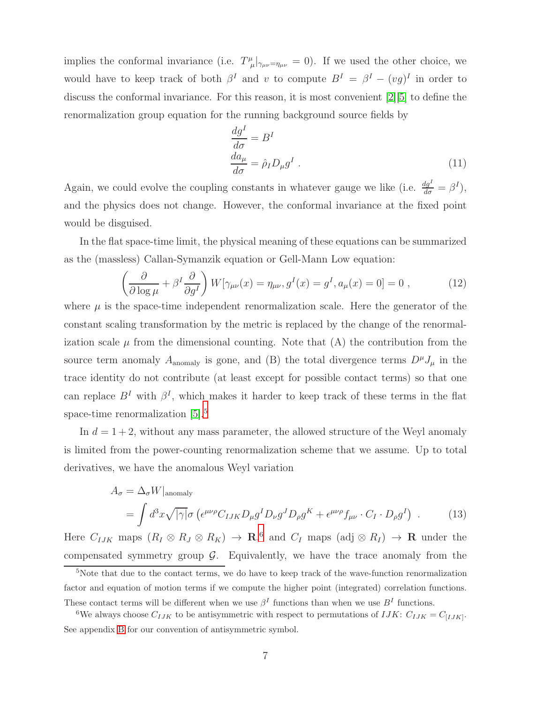implies the conformal invariance (i.e.  $T^{\mu}_{\mu} |_{\gamma_{\mu\nu} = \eta_{\mu\nu}} = 0$ ). If we used the other choice, we would have to keep track of both  $\beta^I$  and v to compute  $B^I = \beta^I - (vg)^I$  in order to discuss the conformal invariance. For this reason, it is most convenient [\[2\]](#page-37-1)[\[5\]](#page-37-4) to define the renormalization group equation for the running background source fields by

$$
\frac{dg^{I}}{d\sigma} = B^{I}
$$
  
\n
$$
\frac{da_{\mu}}{d\sigma} = \hat{\rho}_{I} D_{\mu} g^{I} .
$$
\n(11)

Again, we could evolve the coupling constants in whatever gauge we like (i.e.  $\frac{dq^{I}}{d\sigma} = \beta^{I}$ ), and the physics does not change. However, the conformal invariance at the fixed point would be disguised.

In the flat space-time limit, the physical meaning of these equations can be summarized as the (massless) Callan-Symanzik equation or Gell-Mann Low equation:

$$
\left(\frac{\partial}{\partial \log \mu} + \beta^I \frac{\partial}{\partial g^I}\right) W[\gamma_{\mu\nu}(x) = \eta_{\mu\nu}, g^I(x) = g^I, a_\mu(x) = 0] = 0,
$$
\n(12)

where  $\mu$  is the space-time independent renormalization scale. Here the generator of the constant scaling transformation by the metric is replaced by the change of the renormalization scale  $\mu$  from the dimensional counting. Note that (A) the contribution from the source term anomaly  $A_{\text{anomaly}}$  is gone, and (B) the total divergence terms  $D^{\mu}J_{\mu}$  in the trace identity do not contribute (at least except for possible contact terms) so that one can replace  $B<sup>I</sup>$  with  $\beta<sup>I</sup>$ , which makes it harder to keep track of these terms in the flat space-time renormalization [\[5\]](#page-37-4).<sup>[5](#page-7-0)</sup>

In  $d = 1 + 2$ , without any mass parameter, the allowed structure of the Weyl anomaly is limited from the power-counting renormalization scheme that we assume. Up to total derivatives, we have the anomalous Weyl variation

<span id="page-7-2"></span>
$$
A_{\sigma} = \Delta_{\sigma} W|_{\text{anomaly}}
$$
  
= 
$$
\int d^{3}x \sqrt{|\gamma|} \sigma \left( \epsilon^{\mu\nu\rho} C_{IJK} D_{\mu} g^{I} D_{\nu} g^{J} D_{\rho} g^{K} + \epsilon^{\mu\nu\rho} f_{\mu\nu} \cdot C_{I} \cdot D_{\rho} g^{I} \right) .
$$
 (13)

Here  $C_{IJK}$  maps  $(R_I \otimes R_J \otimes R_K) \to \mathbf{R}$ , and  $C_I$  maps  $(\text{adj} \otimes R_I) \to \mathbf{R}$  under the compensated symmetry group  $G$ . Equivalently, we have the trace anomaly from the

<span id="page-7-0"></span><sup>&</sup>lt;sup>5</sup>Note that due to the contact terms, we do have to keep track of the wave-function renormalization factor and equation of motion terms if we compute the higher point (integrated) correlation functions. These contact terms will be different when we use  $\beta^I$  functions than when we use  $B^I$  functions.

<span id="page-7-1"></span><sup>&</sup>lt;sup>6</sup>We always choose  $C_{IJK}$  to be antisymmetric with respect to permutations of  $IJK: C_{IJK} = C_{[IJK]}$ . See appendix [B](#page-36-0) for our convention of antisymmetric symbol.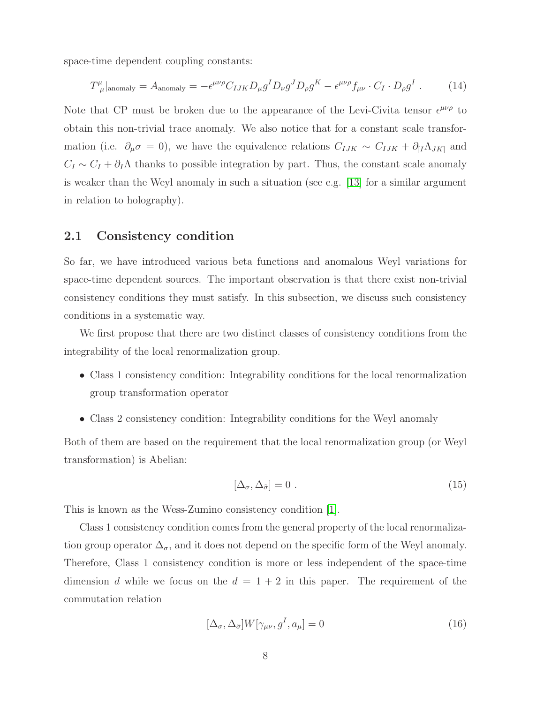space-time dependent coupling constants:

<span id="page-8-1"></span>
$$
T^{\mu}_{\ \mu}|_{\text{anomaly}} = A_{\text{anomaly}} = -\epsilon^{\mu\nu\rho} C_{IJK} D_{\mu} g^I D_{\nu} g^J D_{\rho} g^K - \epsilon^{\mu\nu\rho} f_{\mu\nu} \cdot C_I \cdot D_{\rho} g^I \ . \tag{14}
$$

Note that CP must be broken due to the appearance of the Levi-Civita tensor  $\epsilon^{\mu\nu\rho}$  to obtain this non-trivial trace anomaly. We also notice that for a constant scale transformation (i.e.  $\partial_{\mu}\sigma = 0$ ), we have the equivalence relations  $C_{IJK} \sim C_{IJK} + \partial_{[I}\Lambda_{JK]}$  and  $C_I \sim C_I + \partial_I \Lambda$  thanks to possible integration by part. Thus, the constant scale anomaly is weaker than the Weyl anomaly in such a situation (see e.g. [\[13\]](#page-38-5) for a similar argument in relation to holography).

### <span id="page-8-0"></span>2.1 Consistency condition

So far, we have introduced various beta functions and anomalous Weyl variations for space-time dependent sources. The important observation is that there exist non-trivial consistency conditions they must satisfy. In this subsection, we discuss such consistency conditions in a systematic way.

We first propose that there are two distinct classes of consistency conditions from the integrability of the local renormalization group.

- Class 1 consistency condition: Integrability conditions for the local renormalization group transformation operator
- Class 2 consistency condition: Integrability conditions for the Weyl anomaly

Both of them are based on the requirement that the local renormalization group (or Weyl transformation) is Abelian:

$$
[\Delta_{\sigma}, \Delta_{\tilde{\sigma}}] = 0 \tag{15}
$$

This is known as the Wess-Zumino consistency condition [\[1\]](#page-37-0).

Class 1 consistency condition comes from the general property of the local renormalization group operator  $\Delta_{\sigma}$ , and it does not depend on the specific form of the Weyl anomaly. Therefore, Class 1 consistency condition is more or less independent of the space-time dimension d while we focus on the  $d = 1 + 2$  in this paper. The requirement of the commutation relation

$$
[\Delta_{\sigma}, \Delta_{\tilde{\sigma}}]W[\gamma_{\mu\nu}, g^I, a_{\mu}] = 0 \tag{16}
$$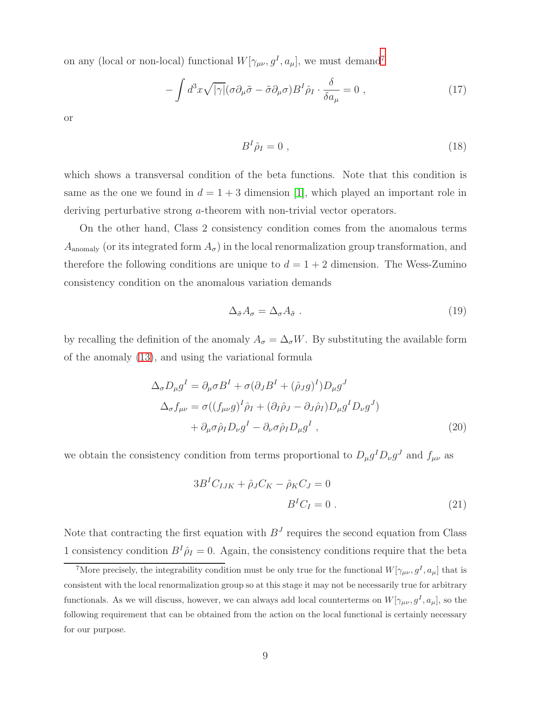on any (local or non-local) functional  $W[\gamma_{\mu\nu}, g^I, a_\mu]$ , we must demand<sup>[7](#page-9-0)</sup>

$$
-\int d^3x \sqrt{|\gamma|} (\sigma \partial_\mu \tilde{\sigma} - \tilde{\sigma} \partial_\mu \sigma) B^I \hat{\rho}_I \cdot \frac{\delta}{\delta a_\mu} = 0 , \qquad (17)
$$

or

<span id="page-9-1"></span>
$$
B^I \hat{\rho}_I = 0 \tag{18}
$$

which shows a transversal condition of the beta functions. Note that this condition is same as the one we found in  $d = 1 + 3$  dimension [\[1\]](#page-37-0), which played an important role in deriving perturbative strong a-theorem with non-trivial vector operators.

On the other hand, Class 2 consistency condition comes from the anomalous terms  $A_{\text{anomaly}}$  (or its integrated form  $A_{\sigma}$ ) in the local renormalization group transformation, and therefore the following conditions are unique to  $d = 1 + 2$  dimension. The Wess-Zumino consistency condition on the anomalous variation demands

$$
\Delta_{\tilde{\sigma}} A_{\sigma} = \Delta_{\sigma} A_{\tilde{\sigma}} \tag{19}
$$

by recalling the definition of the anomaly  $A_{\sigma} = \Delta_{\sigma} W$ . By substituting the available form of the anomaly [\(13\)](#page-7-2), and using the variational formula

$$
\Delta_{\sigma} D_{\mu} g^{I} = \partial_{\mu} \sigma B^{I} + \sigma (\partial_{J} B^{I} + (\hat{\rho}_{J} g)^{I}) D_{\mu} g^{J}
$$
  
\n
$$
\Delta_{\sigma} f_{\mu\nu} = \sigma ((f_{\mu\nu} g)^{I} \hat{\rho}_{I} + (\partial_{I} \hat{\rho}_{J} - \partial_{J} \hat{\rho}_{I}) D_{\mu} g^{I} D_{\nu} g^{J})
$$
  
\n
$$
+ \partial_{\mu} \sigma \hat{\rho}_{I} D_{\nu} g^{I} - \partial_{\nu} \sigma \hat{\rho}_{I} D_{\mu} g^{I} , \qquad (20)
$$

we obtain the consistency condition from terms proportional to  $D_{\mu}g^{I}D_{\nu}g^{J}$  and  $f_{\mu\nu}$  as

<span id="page-9-2"></span>
$$
3B^{I}C_{IJK} + \hat{\rho}_{J}C_{K} - \hat{\rho}_{K}C_{J} = 0
$$
  

$$
B^{I}C_{I} = 0.
$$
 (21)

Note that contracting the first equation with  $B<sup>J</sup>$  requires the second equation from Class 1 consistency condition  $B^I \hat{\rho}_I = 0$ . Again, the consistency conditions require that the beta

<span id="page-9-0"></span><sup>&</sup>lt;sup>7</sup>More precisely, the integrability condition must be only true for the functional  $W[\gamma_{\mu\nu}, g^I, a_\mu]$  that is consistent with the local renormalization group so at this stage it may not be necessarily true for arbitrary functionals. As we will discuss, however, we can always add local counterterms on  $W[\gamma_{\mu\nu}, g^I, a_\mu]$ , so the following requirement that can be obtained from the action on the local functional is certainly necessary for our purpose.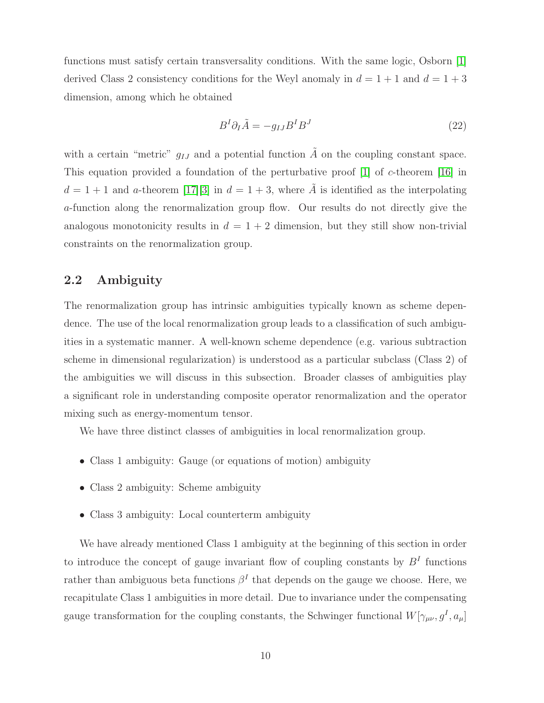functions must satisfy certain transversality conditions. With the same logic, Osborn [\[1\]](#page-37-0) derived Class 2 consistency conditions for the Weyl anomaly in  $d = 1 + 1$  and  $d = 1 + 3$ dimension, among which he obtained

<span id="page-10-1"></span>
$$
B^I \partial_I \tilde{A} = -g_{IJ} B^I B^J \tag{22}
$$

with a certain "metric"  $g_{IJ}$  and a potential function  $\tilde{A}$  on the coupling constant space. This equation provided a foundation of the perturbative proof [\[1\]](#page-37-0) of c-theorem [\[16\]](#page-38-10) in  $d = 1 + 1$  and a-theorem [\[17\]](#page-38-11)[\[3\]](#page-37-2) in  $d = 1 + 3$ , where  $\tilde{A}$  is identified as the interpolating a-function along the renormalization group flow. Our results do not directly give the analogous monotonicity results in  $d = 1 + 2$  dimension, but they still show non-trivial constraints on the renormalization group.

## <span id="page-10-0"></span>2.2 Ambiguity

The renormalization group has intrinsic ambiguities typically known as scheme dependence. The use of the local renormalization group leads to a classification of such ambiguities in a systematic manner. A well-known scheme dependence (e.g. various subtraction scheme in dimensional regularization) is understood as a particular subclass (Class 2) of the ambiguities we will discuss in this subsection. Broader classes of ambiguities play a significant role in understanding composite operator renormalization and the operator mixing such as energy-momentum tensor.

We have three distinct classes of ambiguities in local renormalization group.

- Class 1 ambiguity: Gauge (or equations of motion) ambiguity
- Class 2 ambiguity: Scheme ambiguity
- Class 3 ambiguity: Local counterterm ambiguity

We have already mentioned Class 1 ambiguity at the beginning of this section in order to introduce the concept of gauge invariant flow of coupling constants by  $B<sup>I</sup>$  functions rather than ambiguous beta functions  $\beta^I$  that depends on the gauge we choose. Here, we recapitulate Class 1 ambiguities in more detail. Due to invariance under the compensating gauge transformation for the coupling constants, the Schwinger functional  $W[\gamma_{\mu\nu}, g^I, a_\mu]$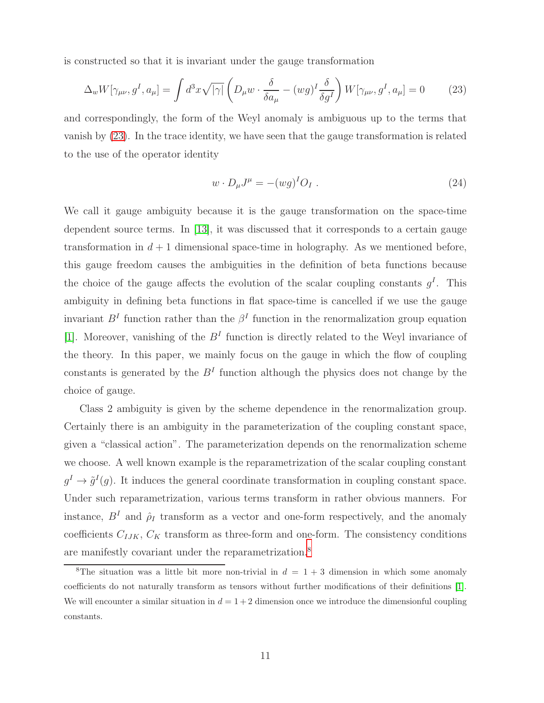is constructed so that it is invariant under the gauge transformation

$$
\Delta_w W[\gamma_{\mu\nu}, g^I, a_\mu] = \int d^3x \sqrt{|\gamma|} \left( D_\mu w \cdot \frac{\delta}{\delta a_\mu} - (wg)^I \frac{\delta}{\delta g^I} \right) W[\gamma_{\mu\nu}, g^I, a_\mu] = 0 \tag{23}
$$

and correspondingly, the form of the Weyl anomaly is ambiguous up to the terms that vanish by [\(23\)](#page-11-0). In the trace identity, we have seen that the gauge transformation is related to the use of the operator identity

<span id="page-11-0"></span>
$$
w \cdot D_{\mu}J^{\mu} = -(wg)^{I}O_{I} . \qquad (24)
$$

We call it gauge ambiguity because it is the gauge transformation on the space-time dependent source terms. In [\[13\]](#page-38-5), it was discussed that it corresponds to a certain gauge transformation in  $d+1$  dimensional space-time in holography. As we mentioned before, this gauge freedom causes the ambiguities in the definition of beta functions because the choice of the gauge affects the evolution of the scalar coupling constants  $g<sup>I</sup>$ . This ambiguity in defining beta functions in flat space-time is cancelled if we use the gauge invariant  $B<sup>I</sup>$  function rather than the  $\beta<sup>I</sup>$  function in the renormalization group equation [\[1\]](#page-37-0). Moreover, vanishing of the  $B<sup>I</sup>$  function is directly related to the Weyl invariance of the theory. In this paper, we mainly focus on the gauge in which the flow of coupling constants is generated by the  $B<sup>I</sup>$  function although the physics does not change by the choice of gauge.

Class 2 ambiguity is given by the scheme dependence in the renormalization group. Certainly there is an ambiguity in the parameterization of the coupling constant space, given a "classical action". The parameterization depends on the renormalization scheme we choose. A well known example is the reparametrization of the scalar coupling constant  $g^I \to \tilde{g}^I(g)$ . It induces the general coordinate transformation in coupling constant space. Under such reparametrization, various terms transform in rather obvious manners. For instance,  $B<sup>I</sup>$  and  $\hat{\rho}_I$  transform as a vector and one-form respectively, and the anomaly coefficients  $C_{IJK}$ ,  $C_K$  transform as three-form and one-form. The consistency conditions are manifestly covariant under the reparametrization.[8](#page-11-1)

<span id="page-11-1"></span><sup>&</sup>lt;sup>8</sup>The situation was a little bit more non-trivial in  $d = 1 + 3$  dimension in which some anomaly coefficients do not naturally transform as tensors without further modifications of their definitions [\[1\]](#page-37-0). We will encounter a similar situation in  $d = 1 + 2$  dimension once we introduce the dimensionful coupling constants.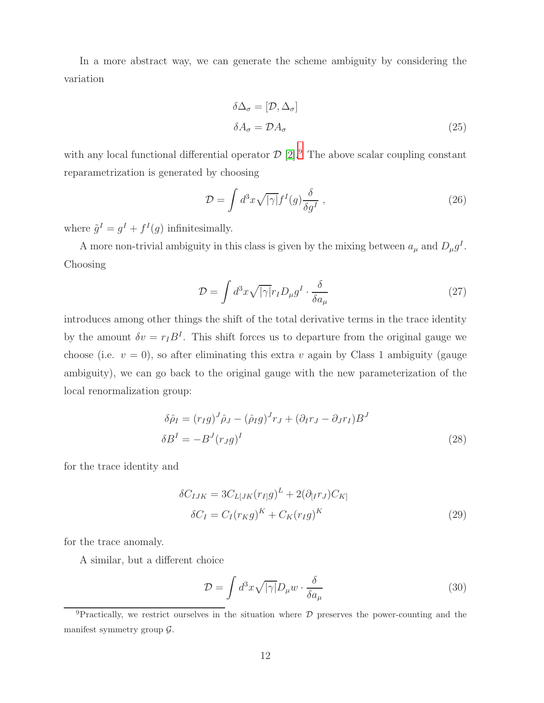In a more abstract way, we can generate the scheme ambiguity by considering the variation

<span id="page-12-3"></span>
$$
\delta \Delta_{\sigma} = [\mathcal{D}, \Delta_{\sigma}]
$$
  
\n
$$
\delta A_{\sigma} = \mathcal{D} A_{\sigma}
$$
\n(25)

with any local functional differential operator  $\mathcal{D}$  [\[2\]](#page-37-1).<sup>[9](#page-12-0)</sup> The above scalar coupling constant reparametrization is generated by choosing

$$
\mathcal{D} = \int d^3x \sqrt{|\gamma|} f^I(g) \frac{\delta}{\delta g^I} \,, \tag{26}
$$

where  $\tilde{g}^I = g^I + f^I(g)$  infinitesimally.

A more non-trivial ambiguity in this class is given by the mixing between  $a_{\mu}$  and  $D_{\mu}g^{I}$ . Choosing

<span id="page-12-4"></span>
$$
\mathcal{D} = \int d^3x \sqrt{|\gamma|} r_I D_\mu g^I \cdot \frac{\delta}{\delta a_\mu} \tag{27}
$$

introduces among other things the shift of the total derivative terms in the trace identity by the amount  $\delta v = r_I B^I$ . This shift forces us to departure from the original gauge we choose (i.e.  $v = 0$ ), so after eliminating this extra v again by Class 1 ambiguity (gauge ambiguity), we can go back to the original gauge with the new parameterization of the local renormalization group:

$$
\delta \hat{\rho}_I = (r_I g)^J \hat{\rho}_J - (\hat{\rho}_I g)^J r_J + (\partial_I r_J - \partial_J r_I) B^J
$$
  

$$
\delta B^I = -B^J (r_J g)^I
$$
 (28)

for the trace identity and

<span id="page-12-1"></span>
$$
\delta C_{IJK} = 3C_{L[JK}(r_{I]}g)^{L} + 2(\partial_{[I}r_{J})C_{K]}
$$

$$
\delta C_{I} = C_{I}(r_{K}g)^{K} + C_{K}(r_{I}g)^{K}
$$
(29)

for the trace anomaly.

A similar, but a different choice

<span id="page-12-2"></span>
$$
\mathcal{D} = \int d^3x \sqrt{|\gamma|} D_{\mu} w \cdot \frac{\delta}{\delta a_{\mu}} \tag{30}
$$

<span id="page-12-0"></span><sup>&</sup>lt;sup>9</sup>Practically, we restrict ourselves in the situation where  $D$  preserves the power-counting and the manifest symmetry group  $\mathcal{G}$ .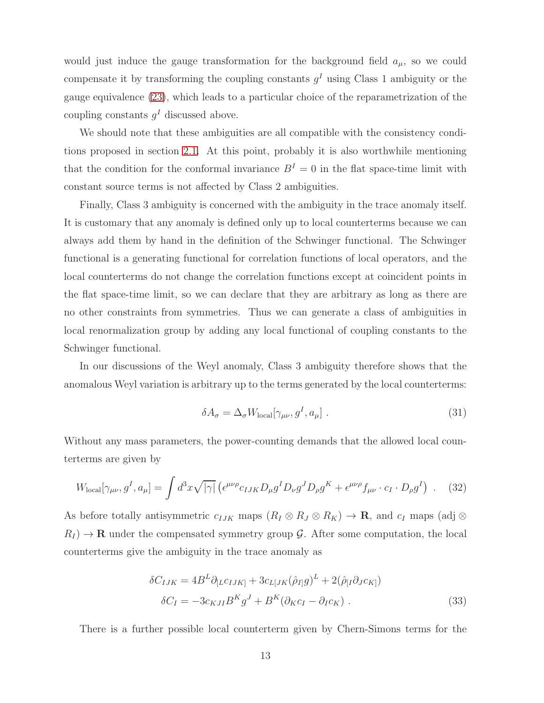would just induce the gauge transformation for the background field  $a_{\mu}$ , so we could compensate it by transforming the coupling constants  $g<sup>I</sup>$  using Class 1 ambiguity or the gauge equivalence [\(23\)](#page-11-0), which leads to a particular choice of the reparametrization of the coupling constants  $g<sup>I</sup>$  discussed above.

We should note that these ambiguities are all compatible with the consistency conditions proposed in section [2.1.](#page-8-0) At this point, probably it is also worthwhile mentioning that the condition for the conformal invariance  $B<sup>I</sup> = 0$  in the flat space-time limit with constant source terms is not affected by Class 2 ambiguities.

Finally, Class 3 ambiguity is concerned with the ambiguity in the trace anomaly itself. It is customary that any anomaly is defined only up to local counterterms because we can always add them by hand in the definition of the Schwinger functional. The Schwinger functional is a generating functional for correlation functions of local operators, and the local counterterms do not change the correlation functions except at coincident points in the flat space-time limit, so we can declare that they are arbitrary as long as there are no other constraints from symmetries. Thus we can generate a class of ambiguities in local renormalization group by adding any local functional of coupling constants to the Schwinger functional.

In our discussions of the Weyl anomaly, Class 3 ambiguity therefore shows that the anomalous Weyl variation is arbitrary up to the terms generated by the local counterterms:

<span id="page-13-0"></span>
$$
\delta A_{\sigma} = \Delta_{\sigma} W_{\text{local}}[\gamma_{\mu\nu}, g^I, a_{\mu}]. \tag{31}
$$

Without any mass parameters, the power-counting demands that the allowed local counterterms are given by

$$
W_{\text{local}}[\gamma_{\mu\nu}, g^I, a_{\mu}] = \int d^3x \sqrt{|\gamma|} \left( \epsilon^{\mu\nu\rho} c_{IJK} D_{\mu} g^I D_{\nu} g^J D_{\rho} g^K + \epsilon^{\mu\nu\rho} f_{\mu\nu} \cdot c_I \cdot D_{\rho} g^I \right) \ . \tag{32}
$$

As before totally antisymmetric  $c_{IJK}$  maps  $(R_I \otimes R_J \otimes R_K) \to \mathbf{R}$ , and  $c_I$  maps (adj  $\otimes$  $R_I$   $\rightarrow$  R under the compensated symmetry group G. After some computation, the local counterterms give the ambiguity in the trace anomaly as

<span id="page-13-1"></span>
$$
\delta C_{IJK} = 4B^L \partial_{[L} c_{IJK]} + 3c_{L[JK} (\hat{\rho}_{I]} g)^L + 2(\hat{\rho}_{[I} \partial_J c_{K]})
$$
  

$$
\delta C_I = -3c_{KJI} B^K g^J + B^K (\partial_K c_I - \partial_I c_K) .
$$
 (33)

There is a further possible local counterterm given by Chern-Simons terms for the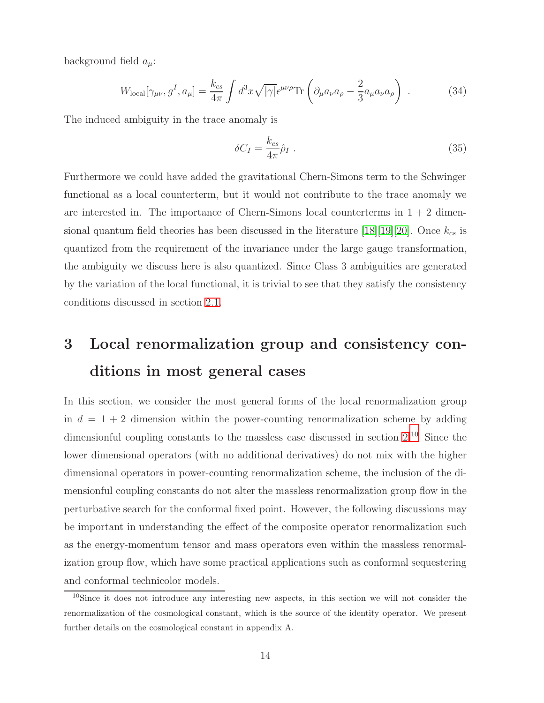background field  $a_\mu$ :

$$
W_{\text{local}}[\gamma_{\mu\nu}, g^I, a_{\mu}] = \frac{k_{cs}}{4\pi} \int d^3x \sqrt{|\gamma|} \epsilon^{\mu\nu\rho} \text{Tr} \left( \partial_{\mu} a_{\nu} a_{\rho} - \frac{2}{3} a_{\mu} a_{\nu} a_{\rho} \right) . \tag{34}
$$

The induced ambiguity in the trace anomaly is

<span id="page-14-2"></span>
$$
\delta C_I = \frac{k_{cs}}{4\pi} \hat{\rho}_I \ . \tag{35}
$$

Furthermore we could have added the gravitational Chern-Simons term to the Schwinger functional as a local counterterm, but it would not contribute to the trace anomaly we are interested in. The importance of Chern-Simons local counterterms in  $1 + 2$  dimen-sional quantum field theories has been discussed in the literature [\[18\]](#page-38-12)[\[19\]](#page-38-13)[\[20\]](#page-38-14). Once  $k_{cs}$  is quantized from the requirement of the invariance under the large gauge transformation, the ambiguity we discuss here is also quantized. Since Class 3 ambiguities are generated by the variation of the local functional, it is trivial to see that they satisfy the consistency conditions discussed in section [2.1.](#page-8-0)

# <span id="page-14-0"></span>3 Local renormalization group and consistency conditions in most general cases

In this section, we consider the most general forms of the local renormalization group in  $d = 1 + 2$  dimension within the power-counting renormalization scheme by adding dimensionful coupling constants to the massless case discussed in section  $2^{10}$  $2^{10}$  $2^{10}$ . Since the lower dimensional operators (with no additional derivatives) do not mix with the higher dimensional operators in power-counting renormalization scheme, the inclusion of the dimensionful coupling constants do not alter the massless renormalization group flow in the perturbative search for the conformal fixed point. However, the following discussions may be important in understanding the effect of the composite operator renormalization such as the energy-momentum tensor and mass operators even within the massless renormalization group flow, which have some practical applications such as conformal sequestering and conformal technicolor models.

<span id="page-14-1"></span><sup>&</sup>lt;sup>10</sup>Since it does not introduce any interesting new aspects, in this section we will not consider the renormalization of the cosmological constant, which is the source of the identity operator. We present further details on the cosmological constant in appendix A.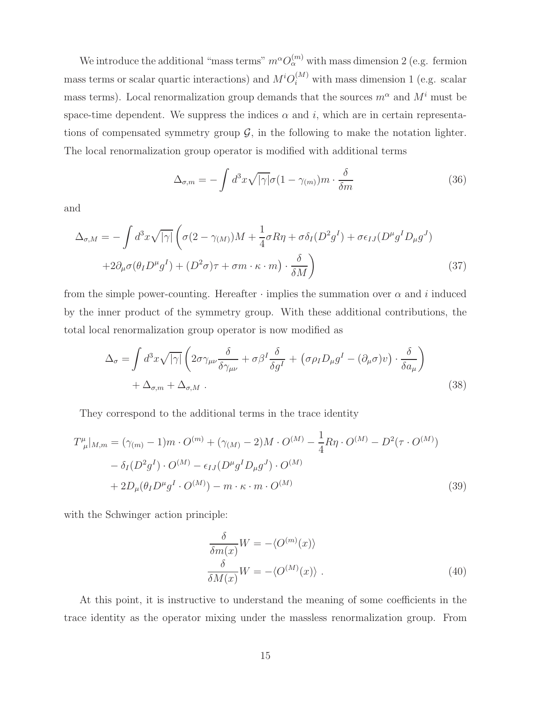We introduce the additional "mass terms"  $m^{\alpha}O_{\alpha}^{(m)}$  with mass dimension 2 (e.g. fermion mass terms or scalar quartic interactions) and  $M^{i}O_i^{(M)}$  with mass dimension 1 (e.g. scalar mass terms). Local renormalization group demands that the sources  $m^{\alpha}$  and  $M^{i}$  must be space-time dependent. We suppress the indices  $\alpha$  and i, which are in certain representations of compensated symmetry group  $\mathcal{G}$ , in the following to make the notation lighter. The local renormalization group operator is modified with additional terms

<span id="page-15-0"></span>
$$
\Delta_{\sigma,m} = -\int d^3x \sqrt{|\gamma|} \sigma (1 - \gamma_{(m)}) m \cdot \frac{\delta}{\delta m} \tag{36}
$$

and

$$
\Delta_{\sigma,M} = -\int d^3x \sqrt{|\gamma|} \left( \sigma(2 - \gamma_{(M)})M + \frac{1}{4}\sigma R\eta + \sigma \delta_I (D^2 g^I) + \sigma \epsilon_{IJ} (D^\mu g^I D_\mu g^J) \right.\left. + 2\partial_\mu \sigma (\theta_I D^\mu g^I) + (D^2 \sigma)\tau + \sigma m \cdot \kappa \cdot m \right) \cdot \frac{\delta}{\delta M} \right) \tag{37}
$$

from the simple power-counting. Hereafter  $\cdot$  implies the summation over  $\alpha$  and i induced by the inner product of the symmetry group. With these additional contributions, the total local renormalization group operator is now modified as

$$
\Delta_{\sigma} = \int d^{3}x \sqrt{|\gamma|} \left( 2\sigma \gamma_{\mu\nu} \frac{\delta}{\delta \gamma_{\mu\nu}} + \sigma \beta^{I} \frac{\delta}{\delta g^{I}} + \left( \sigma \rho_{I} D_{\mu} g^{I} - (\partial_{\mu} \sigma) v \right) \cdot \frac{\delta}{\delta a_{\mu}} \right) + \Delta_{\sigma, m} + \Delta_{\sigma, M} . \tag{38}
$$

They correspond to the additional terms in the trace identity

$$
T^{\mu}_{\ \mu}|_{M,m} = (\gamma_{(m)} - 1)m \cdot O^{(m)} + (\gamma_{(M)} - 2)M \cdot O^{(M)} - \frac{1}{4}R\eta \cdot O^{(M)} - D^2(\tau \cdot O^{(M)})
$$

$$
- \delta_I(D^2g^I) \cdot O^{(M)} - \epsilon_{IJ}(D^{\mu}g^ID_{\mu}g^J) \cdot O^{(M)}
$$

$$
+ 2D_{\mu}(\theta_I D^{\mu}g^I \cdot O^{(M)}) - m \cdot \kappa \cdot m \cdot O^{(M)}
$$
(39)

with the Schwinger action principle:

$$
\frac{\delta}{\delta m(x)} W = -\langle O^{(m)}(x) \rangle
$$
  

$$
\frac{\delta}{\delta M(x)} W = -\langle O^{(M)}(x) \rangle .
$$
 (40)

At this point, it is instructive to understand the meaning of some coefficients in the trace identity as the operator mixing under the massless renormalization group. From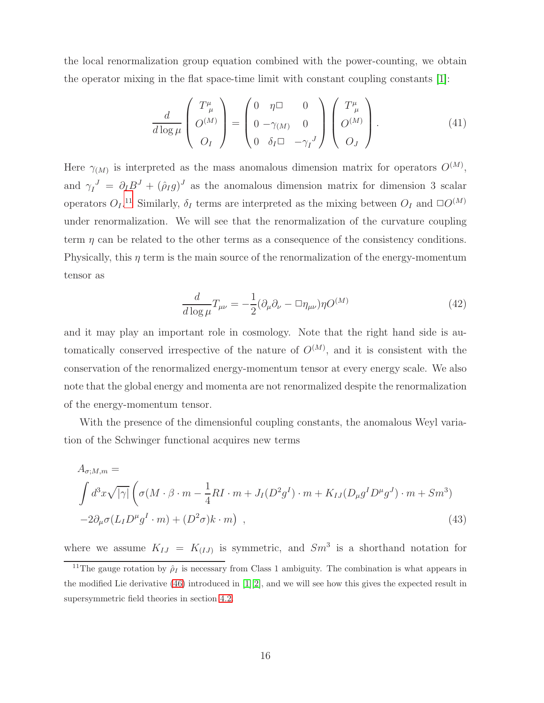the local renormalization group equation combined with the power-counting, we obtain the operator mixing in the flat space-time limit with constant coupling constants [\[1\]](#page-37-0):

<span id="page-16-1"></span>
$$
\frac{d}{d \log \mu} \begin{pmatrix} T^{\mu}_{\mu} \\ O^{(M)} \\ O_I \end{pmatrix} = \begin{pmatrix} 0 & \eta \Box & 0 \\ 0 & -\gamma_{(M)} & 0 \\ 0 & \delta_I \Box & -\gamma_I^J \end{pmatrix} \begin{pmatrix} T^{\mu}_{\mu} \\ O^{(M)} \\ O_J \end{pmatrix} . \tag{41}
$$

Here  $\gamma_{(M)}$  is interpreted as the mass anomalous dimension matrix for operators  $O^{(M)}$ , and  $\gamma_I^J = \partial_I B^J + (\hat{\rho}_I g)^J$  as the anomalous dimension matrix for dimension 3 scalar operators  $O_I$ .<sup>[11](#page-16-0)</sup> Similarly,  $\delta_I$  terms are interpreted as the mixing between  $O_I$  and  $\square O^{(M)}$ under renormalization. We will see that the renormalization of the curvature coupling term  $\eta$  can be related to the other terms as a consequence of the consistency conditions. Physically, this  $\eta$  term is the main source of the renormalization of the energy-momentum tensor as

<span id="page-16-3"></span><span id="page-16-2"></span>
$$
\frac{d}{d\log\mu}T_{\mu\nu} = -\frac{1}{2}(\partial_{\mu}\partial_{\nu} - \Box \eta_{\mu\nu})\eta O^{(M)}\tag{42}
$$

and it may play an important role in cosmology. Note that the right hand side is automatically conserved irrespective of the nature of  $O^{(M)}$ , and it is consistent with the conservation of the renormalized energy-momentum tensor at every energy scale. We also note that the global energy and momenta are not renormalized despite the renormalization of the energy-momentum tensor.

With the presence of the dimensionful coupling constants, the anomalous Weyl variation of the Schwinger functional acquires new terms

$$
A_{\sigma;M,m} =
$$
\n
$$
\int d^{3}x \sqrt{|\gamma|} \left( \sigma(M \cdot \beta \cdot m - \frac{1}{4}RI \cdot m + J_{I}(D^{2}g^{I}) \cdot m + K_{IJ}(D_{\mu}g^{I}D^{\mu}g^{J}) \cdot m + Sm^{3}) - 2\partial_{\mu}\sigma(L_{I}D^{\mu}g^{I} \cdot m) + (D^{2}\sigma)k \cdot m \right) ,
$$
\n(43)

where we assume  $K_{IJ} = K_{(IJ)}$  is symmetric, and  $Sm^3$  is a shorthand notation for

<span id="page-16-0"></span><sup>&</sup>lt;sup>11</sup>The gauge rotation by  $\rho_I$  is necessary from Class 1 ambiguity. The combination is what appears in the modified Lie derivative  $(46)$  introduced in [\[1\]](#page-37-0)[\[2\]](#page-37-1), and we will see how this gives the expected result in supersymmetric field theories in section [4.2.](#page-26-0)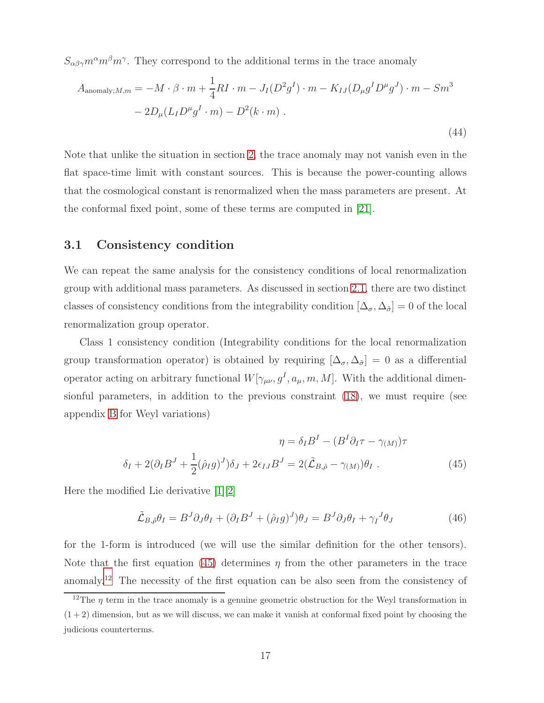$S_{\alpha\beta\gamma}m^{\alpha}m^{\beta}m^{\gamma}$ . They correspond to the additional terms in the trace anomaly

$$
A_{\text{anomaly};M,m} = -M \cdot \beta \cdot m + \frac{1}{4}RI \cdot m - J_I(D^2g^I) \cdot m - K_{IJ}(D_\mu g^ID^\mu g^J) \cdot m - Sm^3
$$

$$
-2D_\mu (L_I D^\mu g^I \cdot m) - D^2(k \cdot m) \,. \tag{44}
$$

Note that unlike the situation in section [2,](#page-3-0) the trace anomaly may not vanish even in the flat space-time limit with constant sources. This is because the power-counting allows that the cosmological constant is renormalized when the mass parameters are present. At the conformal fixed point, some of these terms are computed in [\[21\]](#page-38-15).

#### <span id="page-17-3"></span>3.1 Consistency condition

We can repeat the same analysis for the consistency conditions of local renormalization group with additional mass parameters. As discussed in section [2.1,](#page-8-0) there are two distinct classes of consistency conditions from the integrability condition  $[\Delta_{\sigma}, \Delta_{\tilde{\sigma}}] = 0$  of the local renormalization group operator.

Class 1 consistency condition (Integrability conditions for the local renormalization group transformation operator) is obtained by requiring  $[\Delta_{\sigma}, \Delta_{\tilde{\sigma}}] = 0$  as a differential operator acting on arbitrary functional  $W[\gamma_{\mu\nu}, g^I, a_\mu, m, M]$ . With the additional dimensionful parameters, in addition to the previous constraint [\(18\)](#page-9-1), we must require (see appendix [B](#page-36-0) for Weyl variations)

$$
\eta = \delta_I B^I - (B^I \partial_I \tau - \gamma_{(M)}) \tau
$$

$$
\delta_I + 2(\partial_I B^J + \frac{1}{2}(\hat{\rho}_I g)^J) \delta_J + 2\epsilon_{IJ} B^J = 2(\tilde{\mathcal{L}}_{B,\hat{\rho}} - \gamma_{(M)}) \theta_I .
$$
(45)

Here the modified Lie derivative [\[1\]](#page-37-0)[\[2\]](#page-37-1)

<span id="page-17-1"></span><span id="page-17-0"></span>
$$
\tilde{\mathcal{L}}_{B,\hat{\rho}}\theta_I = B^J \partial_J \theta_I + (\partial_I B^J + (\hat{\rho}_I g)^J)\theta_J = B^J \partial_J \theta_I + \gamma_I^J \theta_J \tag{46}
$$

for the 1-form is introduced (we will use the similar definition for the other tensors). Note that the first equation [\(45\)](#page-17-1) determines  $\eta$  from the other parameters in the trace anomaly.[12](#page-17-2) The necessity of the first equation can be also seen from the consistency of

<span id="page-17-2"></span><sup>&</sup>lt;sup>12</sup>The  $\eta$  term in the trace anomaly is a genuine geometric obstruction for the Weyl transformation in  $(1 + 2)$  dimension, but as we will discuss, we can make it vanish at conformal fixed point by choosing the judicious counterterms.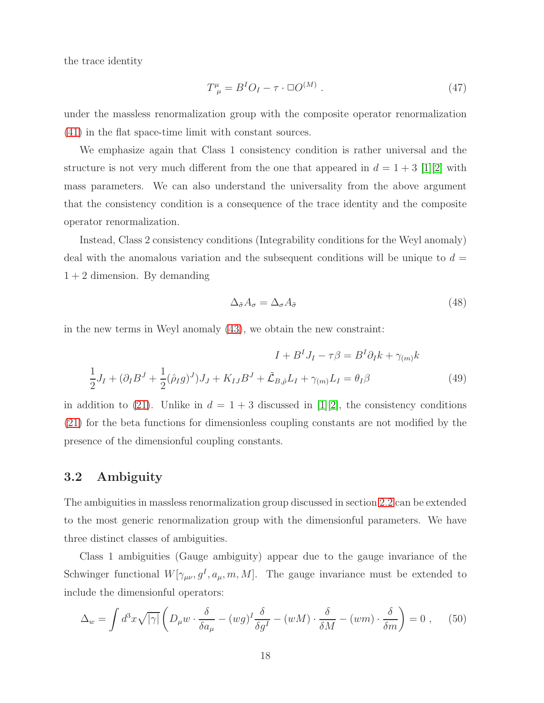the trace identity

$$
T^{\mu}_{\ \mu} = B^I O_I - \tau \cdot \Box O^{(M)} \ . \tag{47}
$$

under the massless renormalization group with the composite operator renormalization [\(41\)](#page-16-1) in the flat space-time limit with constant sources.

We emphasize again that Class 1 consistency condition is rather universal and the structure is not very much different from the one that appeared in  $d = 1 + 3$  [\[1\]](#page-37-0)[\[2\]](#page-37-1) with mass parameters. We can also understand the universality from the above argument that the consistency condition is a consequence of the trace identity and the composite operator renormalization.

Instead, Class 2 consistency conditions (Integrability conditions for the Weyl anomaly) deal with the anomalous variation and the subsequent conditions will be unique to  $d =$  $1 + 2$  dimension. By demanding

<span id="page-18-0"></span>
$$
\Delta_{\tilde{\sigma}} A_{\sigma} = \Delta_{\sigma} A_{\tilde{\sigma}} \tag{48}
$$

in the new terms in Weyl anomaly [\(43\)](#page-16-2), we obtain the new constraint:

$$
I + BI JI - \tau \beta = BI \partial_I k + \gamma_{(m)} k
$$
  

$$
\frac{1}{2} JI + (\partial_I BJ + \frac{1}{2} (\hat{\rho}_I g)J) JJ + KIJ BJ + \tilde{\mathcal{L}}_{B,\hat{\rho}} LI + \gamma_{(m)} LI = \theta_I \beta
$$
(49)

in addition to [\(21\)](#page-9-2). Unlike in  $d = 1 + 3$  discussed in [\[1\]](#page-37-0)[\[2\]](#page-37-1), the consistency conditions [\(21\)](#page-9-2) for the beta functions for dimensionless coupling constants are not modified by the presence of the dimensionful coupling constants.

## 3.2 Ambiguity

The ambiguities in massless renormalization group discussed in section [2.2](#page-10-0) can be extended to the most generic renormalization group with the dimensionful parameters. We have three distinct classes of ambiguities.

Class 1 ambiguities (Gauge ambiguity) appear due to the gauge invariance of the Schwinger functional  $W[\gamma_{\mu\nu}, g^I, a_\mu, m, M]$ . The gauge invariance must be extended to include the dimensionful operators:

$$
\Delta_w = \int d^3x \sqrt{|\gamma|} \left( D_\mu w \cdot \frac{\delta}{\delta a_\mu} - (wg)^I \frac{\delta}{\delta g^I} - (wM) \cdot \frac{\delta}{\delta M} - (wm) \cdot \frac{\delta}{\delta m} \right) = 0 , \quad (50)
$$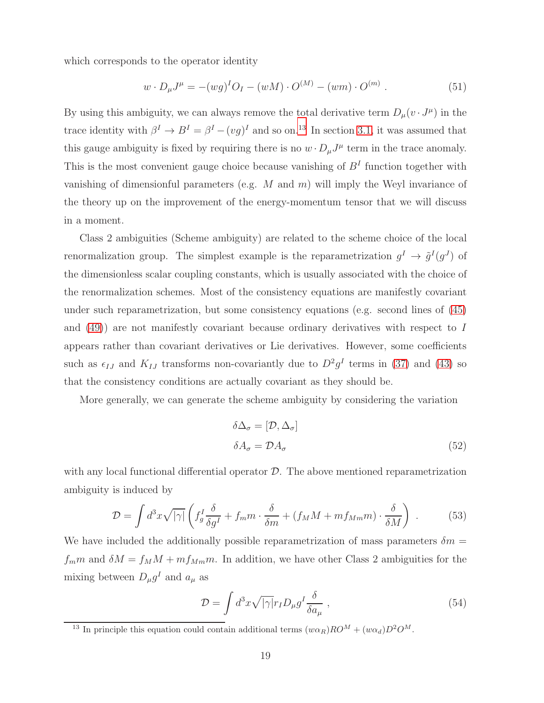which corresponds to the operator identity

$$
w \cdot D_{\mu}J^{\mu} = -(wg)^{I}O_{I} - (wM) \cdot O^{(M)} - (wm) \cdot O^{(m)}.
$$
 (51)

By using this ambiguity, we can always remove the total derivative term  $D_{\mu}(v \cdot J^{\mu})$  in the trace identity with  $\beta^I \to B^I = \beta^I - (vg)^I$  and so on.<sup>[13](#page-19-0)</sup> In section [3.1,](#page-17-3) it was assumed that this gauge ambiguity is fixed by requiring there is no  $w \cdot D_{\mu}J^{\mu}$  term in the trace anomaly. This is the most convenient gauge choice because vanishing of  $B<sup>I</sup>$  function together with vanishing of dimensionful parameters (e.g.  $M$  and  $m$ ) will imply the Weyl invariance of the theory up on the improvement of the energy-momentum tensor that we will discuss in a moment.

Class 2 ambiguities (Scheme ambiguity) are related to the scheme choice of the local renormalization group. The simplest example is the reparametrization  $g^I \to \tilde{g}^I(g^J)$  of the dimensionless scalar coupling constants, which is usually associated with the choice of the renormalization schemes. Most of the consistency equations are manifestly covariant under such reparametrization, but some consistency equations (e.g. second lines of [\(45\)](#page-17-1) and [\(49\)](#page-18-0)) are not manifestly covariant because ordinary derivatives with respect to I appears rather than covariant derivatives or Lie derivatives. However, some coefficients such as  $\epsilon_{IJ}$  and  $K_{IJ}$  transforms non-covariantly due to  $D^2g^I$  terms in [\(37\)](#page-15-0) and [\(43\)](#page-16-2) so that the consistency conditions are actually covariant as they should be.

More generally, we can generate the scheme ambiguity by considering the variation

$$
\delta \Delta_{\sigma} = [\mathcal{D}, \Delta_{\sigma}]
$$
  
\n
$$
\delta A_{\sigma} = \mathcal{D} A_{\sigma}
$$
\n(52)

with any local functional differential operator  $\mathcal{D}$ . The above mentioned reparametrization ambiguity is induced by

$$
\mathcal{D} = \int d^3x \sqrt{|\gamma|} \left( f_g^I \frac{\delta}{\delta g^I} + f_m m \cdot \frac{\delta}{\delta m} + (f_M M + m f_{Mm} m) \cdot \frac{\delta}{\delta M} \right) \ . \tag{53}
$$

We have included the additionally possible reparametrization of mass parameters  $\delta m =$  $f_m m$  and  $\delta M = f_M M + m f_{Mm} m$ . In addition, we have other Class 2 ambiguities for the mixing between  $D_{\mu}g^{I}$  and  $a_{\mu}$  as

$$
\mathcal{D} = \int d^3x \sqrt{|\gamma|} r_I D_\mu g^I \frac{\delta}{\delta a_\mu} \,, \tag{54}
$$

<span id="page-19-0"></span><sup>&</sup>lt;sup>13</sup> In principle this equation could contain additional terms  $(w\alpha_R)RO^M + (w\alpha_d)D^2O^M$ .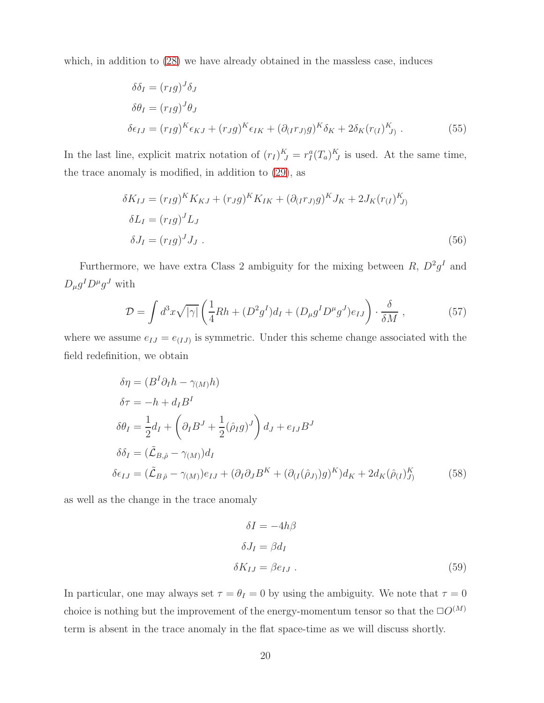which, in addition to  $(28)$  we have already obtained in the massless case, induces

$$
\delta \delta_I = (r_I g)^J \delta_J
$$
  
\n
$$
\delta \theta_I = (r_I g)^J \theta_J
$$
  
\n
$$
\delta \epsilon_{IJ} = (r_I g)^K \epsilon_{KJ} + (r_J g)^K \epsilon_{IK} + (\partial_{(I} r_{J)} g)^K \delta_K + 2 \delta_K (r_{(I})^K_{J)}.
$$
\n(55)

In the last line, explicit matrix notation of  $(r_I)^K_J = r_I^a (T_a)^K_J$  is used. At the same time, the trace anomaly is modified, in addition to [\(29\)](#page-12-2), as

$$
\delta K_{IJ} = (r_{I}g)^{K} K_{KJ} + (r_{J}g)^{K} K_{IK} + (\partial_{(I}r_{J)}g)^{K} J_{K} + 2J_{K}(r_{(I})^{K})
$$
  
\n
$$
\delta L_{I} = (r_{I}g)^{J} L_{J}
$$
  
\n
$$
\delta J_{I} = (r_{I}g)^{J} J_{J}. \tag{56}
$$

Furthermore, we have extra Class 2 ambiguity for the mixing between  $R, D^2g^I$  and  $D_{\mu}g^{I}D^{\mu}g^{J}$  with

$$
\mathcal{D} = \int d^3x \sqrt{|\gamma|} \left( \frac{1}{4}Rh + (D^2 g^I) d_I + (D_\mu g^I D^\mu g^J) e_{IJ} \right) \cdot \frac{\delta}{\delta M} , \qquad (57)
$$

where we assume  $e_{IJ} = e_{(IJ)}$  is symmetric. Under this scheme change associated with the field redefinition, we obtain

$$
\delta \eta = (B^I \partial_I h - \gamma_M)h)
$$
  
\n
$$
\delta \tau = -h + d_I B^I
$$
  
\n
$$
\delta \theta_I = \frac{1}{2} d_I + \left(\partial_I B^J + \frac{1}{2} (\hat{\rho}_I g)^J\right) d_J + e_{IJ} B^J
$$
  
\n
$$
\delta \delta_I = (\tilde{\mathcal{L}}_{B,\hat{\rho}} - \gamma_M) d_I
$$
  
\n
$$
\delta \epsilon_{IJ} = (\tilde{\mathcal{L}}_{B,\hat{\rho}} - \gamma_M) e_{IJ} + (\partial_I \partial_J B^K + (\partial_{(I} (\hat{\rho}_J)) g)^K) d_K + 2 d_K (\hat{\rho}_{(I})_{J}^K)
$$
\n(58)

as well as the change in the trace anomaly

$$
\delta I = -4h\beta
$$
  
\n
$$
\delta J_I = \beta d_I
$$
  
\n
$$
\delta K_{IJ} = \beta e_{IJ} .
$$
\n(59)

In particular, one may always set  $\tau = \theta_I = 0$  by using the ambiguity. We note that  $\tau = 0$ choice is nothing but the improvement of the energy-momentum tensor so that the  $\square O^{(M)}$ term is absent in the trace anomaly in the flat space-time as we will discuss shortly.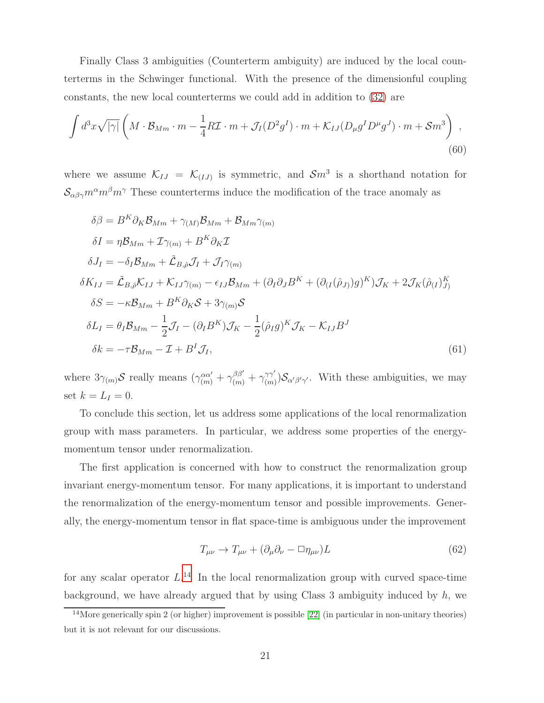Finally Class 3 ambiguities (Counterterm ambiguity) are induced by the local counterterms in the Schwinger functional. With the presence of the dimensionful coupling constants, the new local counterterms we could add in addition to [\(32\)](#page-13-0) are

$$
\int d^3x \sqrt{|\gamma|} \left( M \cdot \mathcal{B}_{Mm} \cdot m - \frac{1}{4} R \mathcal{I} \cdot m + \mathcal{J}_I (D^2 g^I) \cdot m + \mathcal{K}_{IJ} (D_\mu g^I D^\mu g^J) \cdot m + \mathcal{S} m^3 \right) ,
$$
\n(60)

where we assume  $\mathcal{K}_{IJ} = \mathcal{K}_{(IJ)}$  is symmetric, and  $\mathcal{S}m^3$  is a shorthand notation for  $S_{\alpha\beta\gamma}m^{\alpha}m^{\beta}m^{\gamma}$  These counterterms induce the modification of the trace anomaly as

<span id="page-21-1"></span>
$$
\delta\beta = B^{K}\partial_{K}\mathcal{B}_{Mm} + \gamma_{(M)}\mathcal{B}_{Mm} + \mathcal{B}_{Mm}\gamma_{(m)}
$$
  
\n
$$
\delta I = \eta \mathcal{B}_{Mm} + \mathcal{I}\gamma_{(m)} + B^{K}\partial_{K}\mathcal{I}
$$
  
\n
$$
\delta J_{I} = -\delta_{I}\mathcal{B}_{Mm} + \tilde{\mathcal{L}}_{B,\hat{\rho}}\mathcal{J}_{I} + \mathcal{J}_{I}\gamma_{(m)}
$$
  
\n
$$
\delta K_{IJ} = \tilde{\mathcal{L}}_{B,\hat{\rho}}\mathcal{K}_{IJ} + \mathcal{K}_{IJ}\gamma_{(m)} - \epsilon_{IJ}\mathcal{B}_{Mm} + (\partial_{I}\partial_{J}B^{K} + (\partial_{(I}(\hat{\rho}_{J)})g)^{K})\mathcal{J}_{K} + 2\mathcal{J}_{K}(\hat{\rho}_{(I})_{J}^{K})
$$
  
\n
$$
\delta S = -\kappa \mathcal{B}_{Mm} + B^{K}\partial_{K}\mathcal{S} + 3\gamma_{(m)}\mathcal{S}
$$
  
\n
$$
\delta L_{I} = \theta_{I}\mathcal{B}_{Mm} - \frac{1}{2}\mathcal{J}_{I} - (\partial_{I}B^{K})\mathcal{J}_{K} - \frac{1}{2}(\hat{\rho}_{I}g)^{K}\mathcal{J}_{K} - \mathcal{K}_{IJ}B^{J}
$$
  
\n
$$
\delta k = -\tau \mathcal{B}_{Mm} - \mathcal{I} + B^{I}\mathcal{J}_{I},
$$
\n(61)

where  $3\gamma_{(m)}\mathcal{S}$  really means  $(\gamma_{(m)}^{\alpha\alpha'} + \gamma_{(m)}^{\beta\beta'} + \gamma_{(m)}^{\gamma\gamma'}$  $\binom{2\gamma}{(m)}\mathcal{S}_{\alpha'\beta'\gamma'}$ . With these ambiguities, we may set  $k = L_I = 0$ .

To conclude this section, let us address some applications of the local renormalization group with mass parameters. In particular, we address some properties of the energymomentum tensor under renormalization.

The first application is concerned with how to construct the renormalization group invariant energy-momentum tensor. For many applications, it is important to understand the renormalization of the energy-momentum tensor and possible improvements. Generally, the energy-momentum tensor in flat space-time is ambiguous under the improvement

<span id="page-21-2"></span>
$$
T_{\mu\nu} \to T_{\mu\nu} + (\partial_{\mu}\partial_{\nu} - \Box \eta_{\mu\nu})L \tag{62}
$$

for any scalar operator  $L^{14}$  $L^{14}$  $L^{14}$  In the local renormalization group with curved space-time background, we have already argued that by using Class 3 ambiguity induced by  $h$ , we

<span id="page-21-0"></span><sup>&</sup>lt;sup>14</sup>More generically spin 2 (or higher) improvement is possible [\[22\]](#page-38-16) (in particular in non-unitary theories) but it is not relevant for our discussions.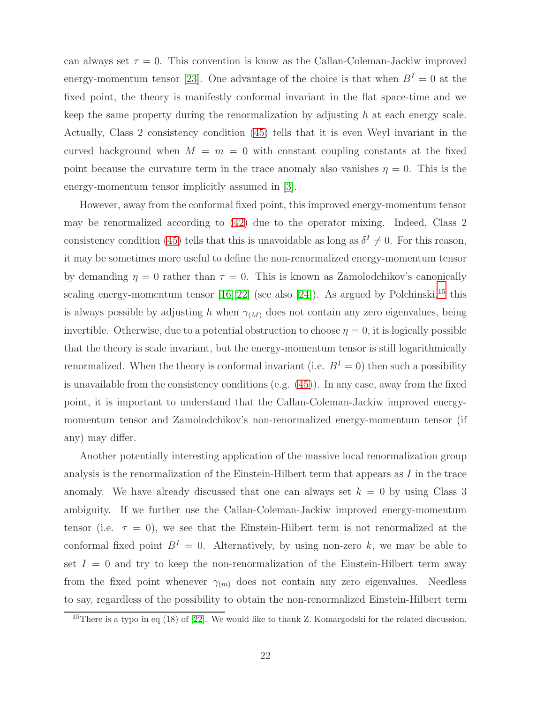can always set  $\tau = 0$ . This convention is know as the Callan-Coleman-Jackiw improved energy-momentum tensor [\[23\]](#page-39-0). One advantage of the choice is that when  $B<sup>I</sup> = 0$  at the fixed point, the theory is manifestly conformal invariant in the flat space-time and we keep the same property during the renormalization by adjusting h at each energy scale. Actually, Class 2 consistency condition [\(45\)](#page-17-1) tells that it is even Weyl invariant in the curved background when  $M = m = 0$  with constant coupling constants at the fixed point because the curvature term in the trace anomaly also vanishes  $\eta = 0$ . This is the energy-momentum tensor implicitly assumed in [\[3\]](#page-37-2).

However, away from the conformal fixed point, this improved energy-momentum tensor may be renormalized according to [\(42\)](#page-16-3) due to the operator mixing. Indeed, Class 2 consistency condition [\(45\)](#page-17-1) tells that this is unavoidable as long as  $\delta^I \neq 0$ . For this reason, it may be sometimes more useful to define the non-renormalized energy-momentum tensor by demanding  $\eta = 0$  rather than  $\tau = 0$ . This is known as Zamolodchikov's canonically scaling energy-momentum tensor  $[16][22]$  $[16][22]$  (see also  $[24]$ ). As argued by Polchinski,<sup>[15](#page-22-0)</sup> this is always possible by adjusting h when  $\gamma_{(M)}$  does not contain any zero eigenvalues, being invertible. Otherwise, due to a potential obstruction to choose  $\eta = 0$ , it is logically possible that the theory is scale invariant, but the energy-momentum tensor is still logarithmically renormalized. When the theory is conformal invariant (i.e.  $B<sup>I</sup> = 0$ ) then such a possibility is unavailable from the consistency conditions (e.g. [\(45\)](#page-17-1)). In any case, away from the fixed point, it is important to understand that the Callan-Coleman-Jackiw improved energymomentum tensor and Zamolodchikov's non-renormalized energy-momentum tensor (if any) may differ.

Another potentially interesting application of the massive local renormalization group analysis is the renormalization of the Einstein-Hilbert term that appears as  $I$  in the trace anomaly. We have already discussed that one can always set  $k = 0$  by using Class 3 ambiguity. If we further use the Callan-Coleman-Jackiw improved energy-momentum tensor (i.e.  $\tau = 0$ ), we see that the Einstein-Hilbert term is not renormalized at the conformal fixed point  $B<sup>I</sup> = 0$ . Alternatively, by using non-zero k, we may be able to set  $I = 0$  and try to keep the non-renormalization of the Einstein-Hilbert term away from the fixed point whenever  $\gamma_{(m)}$  does not contain any zero eigenvalues. Needless to say, regardless of the possibility to obtain the non-renormalized Einstein-Hilbert term

<span id="page-22-0"></span><sup>&</sup>lt;sup>15</sup>There is a typo in eq (18) of [\[22\]](#page-38-16). We would like to thank Z. Komargodski for the related discussion.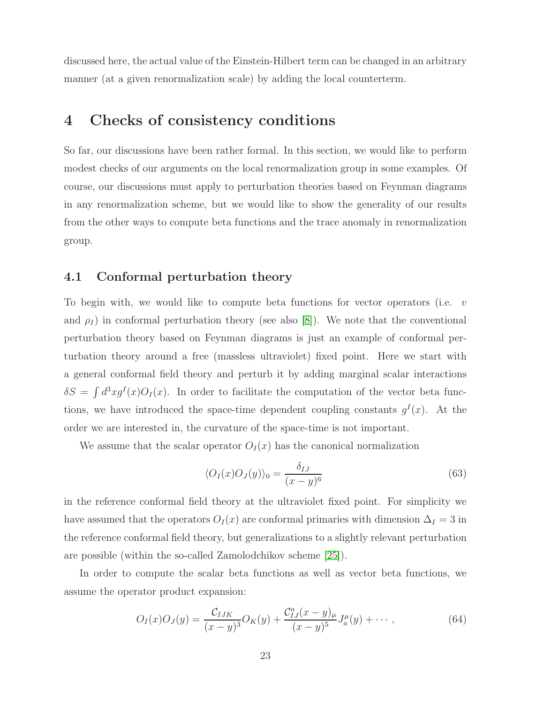<span id="page-23-0"></span>discussed here, the actual value of the Einstein-Hilbert term can be changed in an arbitrary manner (at a given renormalization scale) by adding the local counterterm.

## 4 Checks of consistency conditions

So far, our discussions have been rather formal. In this section, we would like to perform modest checks of our arguments on the local renormalization group in some examples. Of course, our discussions must apply to perturbation theories based on Feynman diagrams in any renormalization scheme, but we would like to show the generality of our results from the other ways to compute beta functions and the trace anomaly in renormalization group.

#### <span id="page-23-2"></span>4.1 Conformal perturbation theory

To begin with, we would like to compute beta functions for vector operators (i.e.  $v$ and  $\rho_I$  in conformal perturbation theory (see also [\[8\]](#page-38-2)). We note that the conventional perturbation theory based on Feynman diagrams is just an example of conformal perturbation theory around a free (massless ultraviolet) fixed point. Here we start with a general conformal field theory and perturb it by adding marginal scalar interactions  $\delta S = \int d^3x g^I(x) O_I(x)$ . In order to facilitate the computation of the vector beta functions, we have introduced the space-time dependent coupling constants  $g<sup>I</sup>(x)$ . At the order we are interested in, the curvature of the space-time is not important.

We assume that the scalar operator  $O_I(x)$  has the canonical normalization

<span id="page-23-1"></span>
$$
\langle O_I(x)O_J(y)\rangle_0 = \frac{\delta_{IJ}}{(x-y)^6}
$$
\n(63)

in the reference conformal field theory at the ultraviolet fixed point. For simplicity we have assumed that the operators  $O_I(x)$  are conformal primaries with dimension  $\Delta_I = 3$  in the reference conformal field theory, but generalizations to a slightly relevant perturbation are possible (within the so-called Zamolodchikov scheme [\[25\]](#page-39-2)).

In order to compute the scalar beta functions as well as vector beta functions, we assume the operator product expansion:

$$
O_I(x)O_J(y) = \frac{C_{IJK}}{(x-y)^3}O_K(y) + \frac{C_{IJ}^a(x-y)_\mu}{(x-y)^5}J_a^\mu(y) + \cdots,
$$
\n(64)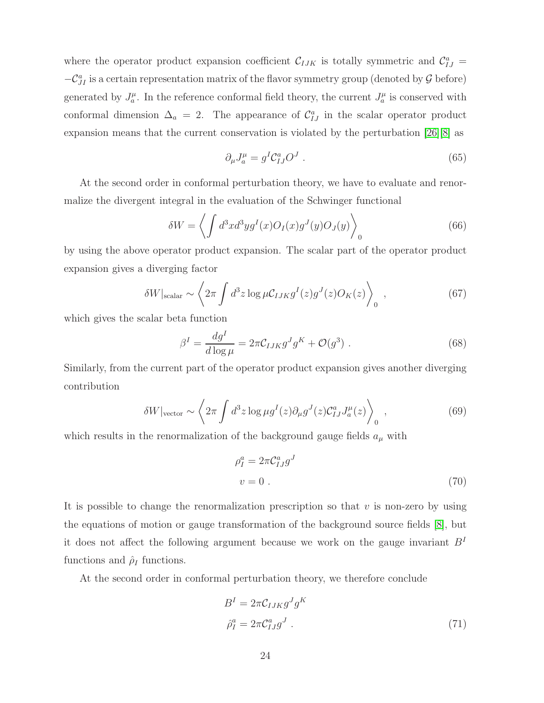where the operator product expansion coefficient  $C_{IJK}$  is totally symmetric and  $C_{IJ}^a$  $-C_{JI}^a$  is a certain representation matrix of the flavor symmetry group (denoted by  $G$  before) generated by  $J_a^{\mu}$ . In the reference conformal field theory, the current  $J_a^{\mu}$  is conserved with conformal dimension  $\Delta_a = 2$ . The appearance of  $\mathcal{C}_{IJ}^a$  in the scalar operator product expansion means that the current conservation is violated by the perturbation  $[26][8]$  $[26][8]$  as

$$
\partial_{\mu}J^{\mu}_{a} = g^{I}\mathcal{C}_{IJ}^{a}O^{J} \tag{65}
$$

At the second order in conformal perturbation theory, we have to evaluate and renormalize the divergent integral in the evaluation of the Schwinger functional

$$
\delta W = \left\langle \int d^3x d^3y g^I(x) O_I(x) g^J(y) O_J(y) \right\rangle_0 \tag{66}
$$

by using the above operator product expansion. The scalar part of the operator product expansion gives a diverging factor

$$
\delta W|_{\text{scalar}} \sim \left\langle 2\pi \int d^3 z \log \mu C_{IJK} g^I(z) g^J(z) O_K(z) \right\rangle_0 , \qquad (67)
$$

which gives the scalar beta function

$$
\beta^I = \frac{dg^I}{d \log \mu} = 2\pi \mathcal{C}_{IJK} g^J g^K + \mathcal{O}(g^3) \tag{68}
$$

Similarly, from the current part of the operator product expansion gives another diverging contribution

$$
\delta W|_{\text{vector}} \sim \left\langle 2\pi \int d^3 z \log \mu g^I(z) \partial_\mu g^J(z) \mathcal{C}_{IJ}^a J_a^\mu(z) \right\rangle_0, \qquad (69)
$$

which results in the renormalization of the background gauge fields  $a_{\mu}$  with

$$
\rho_I^a = 2\pi C_{IJ}^a g^J
$$
  

$$
v = 0.
$$
 (70)

It is possible to change the renormalization prescription so that  $v$  is non-zero by using the equations of motion or gauge transformation of the background source fields [\[8\]](#page-38-2), but it does not affect the following argument because we work on the gauge invariant  $B<sup>I</sup>$ functions and  $\rho_I$  functions.

At the second order in conformal perturbation theory, we therefore conclude

$$
BI = 2\pi C_{IJK} gJ gK
$$
  

$$
\hat{\rho}_I^a = 2\pi C_{IJ}^a gJ
$$
 (71)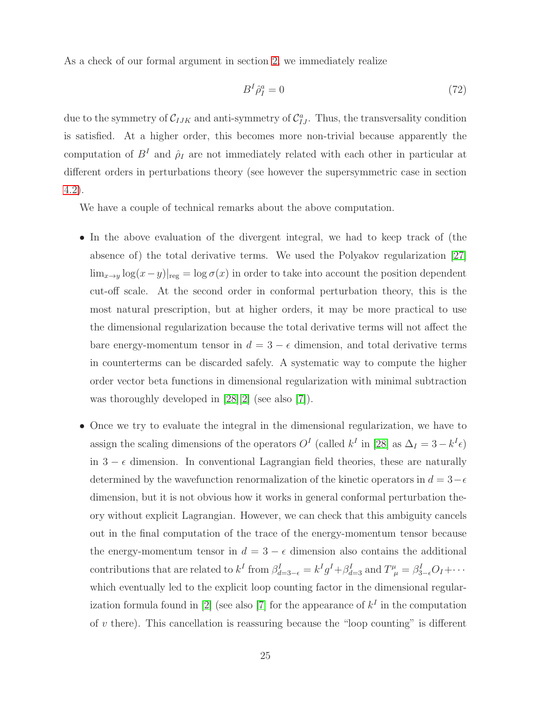As a check of our formal argument in section [2,](#page-3-0) we immediately realize

$$
B^I \hat{\rho}_I^a = 0 \tag{72}
$$

due to the symmetry of  $C_{IJK}$  and anti-symmetry of  $C_{IJ}^a$ . Thus, the transversality condition is satisfied. At a higher order, this becomes more non-trivial because apparently the computation of  $B<sup>I</sup>$  and  $\hat{\rho}_I$  are not immediately related with each other in particular at different orders in perturbations theory (see however the supersymmetric case in section [4.2\)](#page-26-0).

We have a couple of technical remarks about the above computation.

- In the above evaluation of the divergent integral, we had to keep track of (the absence of) the total derivative terms. We used the Polyakov regularization [\[27\]](#page-39-4)  $\lim_{x\to y} \log(x-y)|_{\text{reg}} = \log \sigma(x)$  in order to take into account the position dependent cut-off scale. At the second order in conformal perturbation theory, this is the most natural prescription, but at higher orders, it may be more practical to use the dimensional regularization because the total derivative terms will not affect the bare energy-momentum tensor in  $d = 3 - \epsilon$  dimension, and total derivative terms in counterterms can be discarded safely. A systematic way to compute the higher order vector beta functions in dimensional regularization with minimal subtraction was thoroughly developed in [\[28\]](#page-39-5)[\[2\]](#page-37-1) (see also [\[7\]](#page-38-1)).
- Once we try to evaluate the integral in the dimensional regularization, we have to assign the scaling dimensions of the operators  $O<sup>I</sup>$  (called  $k<sup>I</sup>$  in [\[28\]](#page-39-5) as  $\Delta<sub>I</sub> = 3 - k<sup>I</sup> \epsilon$ ) in  $3 - \epsilon$  dimension. In conventional Lagrangian field theories, these are naturally determined by the wavefunction renormalization of the kinetic operators in  $d = 3-\epsilon$ dimension, but it is not obvious how it works in general conformal perturbation theory without explicit Lagrangian. However, we can check that this ambiguity cancels out in the final computation of the trace of the energy-momentum tensor because the energy-momentum tensor in  $d = 3 - \epsilon$  dimension also contains the additional contributions that are related to  $k^I$  from  $\beta_{d=3-\epsilon}^I = k^I g^I + \beta_{d=3}^I$  and  $T^{\mu}_{\mu} = \beta_{3-\epsilon}^I O_I + \cdots$ which eventually led to the explicit loop counting factor in the dimensional regular-ization formula found in [\[2\]](#page-37-1) (see also [\[7\]](#page-38-1) for the appearance of  $k<sup>I</sup>$  in the computation of  $v$  there). This cancellation is reassuring because the "loop counting" is different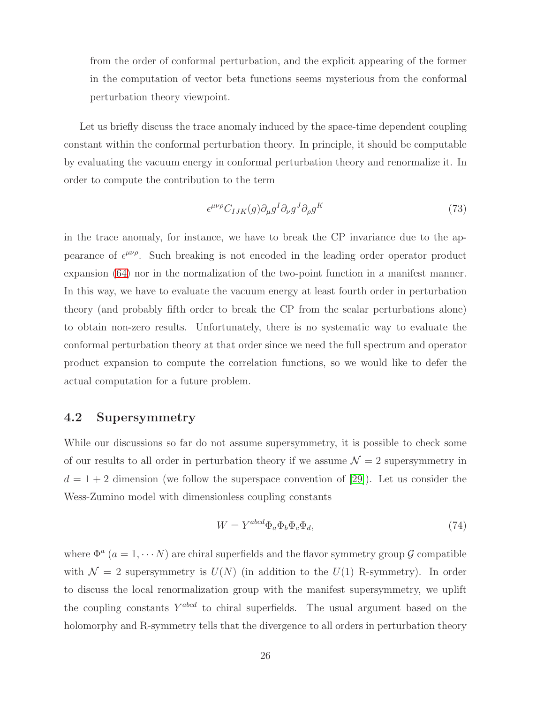from the order of conformal perturbation, and the explicit appearing of the former in the computation of vector beta functions seems mysterious from the conformal perturbation theory viewpoint.

Let us briefly discuss the trace anomaly induced by the space-time dependent coupling constant within the conformal perturbation theory. In principle, it should be computable by evaluating the vacuum energy in conformal perturbation theory and renormalize it. In order to compute the contribution to the term

$$
\epsilon^{\mu\nu\rho} C_{IJK}(g) \partial_{\mu} g^I \partial_{\nu} g^J \partial_{\rho} g^K \tag{73}
$$

in the trace anomaly, for instance, we have to break the CP invariance due to the appearance of  $\epsilon^{\mu\nu\rho}$ . Such breaking is not encoded in the leading order operator product expansion [\(64\)](#page-23-1) nor in the normalization of the two-point function in a manifest manner. In this way, we have to evaluate the vacuum energy at least fourth order in perturbation theory (and probably fifth order to break the CP from the scalar perturbations alone) to obtain non-zero results. Unfortunately, there is no systematic way to evaluate the conformal perturbation theory at that order since we need the full spectrum and operator product expansion to compute the correlation functions, so we would like to defer the actual computation for a future problem.

### <span id="page-26-0"></span>4.2 Supersymmetry

While our discussions so far do not assume supersymmetry, it is possible to check some of our results to all order in perturbation theory if we assume  $\mathcal{N} = 2$  supersymmetry in  $d = 1 + 2$  dimension (we follow the superspace convention of [\[29\]](#page-39-6)). Let us consider the Wess-Zumino model with dimensionless coupling constants

$$
W = Y^{abcd} \Phi_a \Phi_b \Phi_c \Phi_d, \tag{74}
$$

where  $\Phi^a$  ( $a = 1, \dots N$ ) are chiral superfields and the flavor symmetry group  $\mathcal G$  compatible with  $\mathcal{N} = 2$  supersymmetry is  $U(N)$  (in addition to the  $U(1)$  R-symmetry). In order to discuss the local renormalization group with the manifest supersymmetry, we uplift the coupling constants  $Y^{abcd}$  to chiral superfields. The usual argument based on the holomorphy and R-symmetry tells that the divergence to all orders in perturbation theory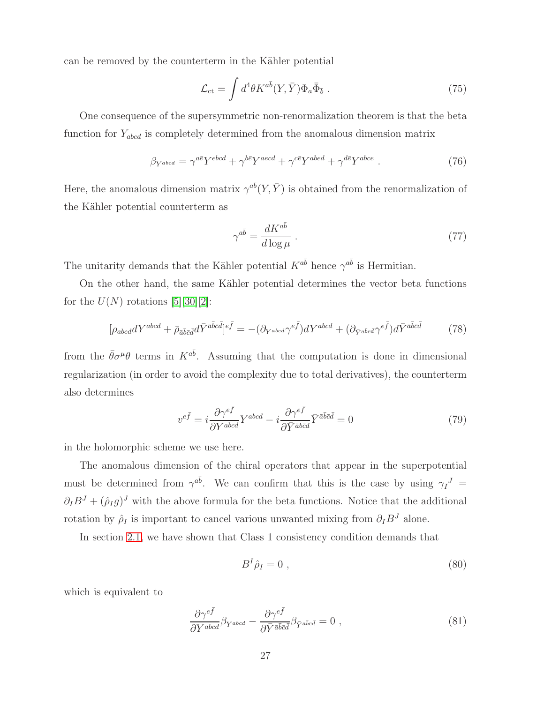can be removed by the counterterm in the Kähler potential

$$
\mathcal{L}_{\rm ct} = \int d^4\theta K^{a\bar{b}}(Y,\bar{Y}) \Phi_a \bar{\Phi}_{\bar{b}} . \qquad (75)
$$

One consequence of the supersymmetric non-renormalization theorem is that the beta function for  $Y_{abcd}$  is completely determined from the anomalous dimension matrix

$$
\beta_{Y^{abcd}} = \gamma^{a\bar{e}} Y^{ebcd} + \gamma^{b\bar{e}} Y^{aecd} + \gamma^{c\bar{e}} Y^{abed} + \gamma^{d\bar{e}} Y^{abce} . \tag{76}
$$

Here, the anomalous dimension matrix  $\gamma^{a\bar{b}}(Y,\bar{Y})$  is obtained from the renormalization of the Kähler potential counterterm as

<span id="page-27-0"></span>
$$
\gamma^{a\bar{b}} = \frac{dK^{a\bar{b}}}{d\log\mu} \tag{77}
$$

The unitarity demands that the Kähler potential  $K^{a\bar{b}}$  hence  $\gamma^{a\bar{b}}$  is Hermitian.

On the other hand, the same Kähler potential determines the vector beta functions for the  $U(N)$  rotations [\[5\]](#page-37-4)[\[30\]](#page-39-7)[\[2\]](#page-37-1):

$$
[\rho_{abcd}dY^{abcd} + \bar{\rho}_{\bar{a}\bar{b}\bar{c}\bar{d}}d\bar{Y}^{\bar{a}\bar{b}\bar{c}\bar{d}}]^{\bar{e}\bar{f}} = -(\partial_{Y^{abcd}}\gamma^{e\bar{f}})dY^{abcd} + (\partial_{\bar{Y}^{\bar{a}\bar{b}\bar{c}\bar{d}}}\gamma^{e\bar{f}})d\bar{Y}^{\bar{a}\bar{b}\bar{c}\bar{d}} \tag{78}
$$

from the  $\bar{\theta}\sigma^{\mu}\theta$  terms in  $K^{a\bar{b}}$ . Assuming that the computation is done in dimensional regularization (in order to avoid the complexity due to total derivatives), the counterterm also determines

$$
v^{e\bar{f}} = i\frac{\partial \gamma^{e\bar{f}}}{\partial Y^{abcd}} Y^{abcd} - i\frac{\partial \gamma^{e\bar{f}}}{\partial \bar{Y}^{\bar{a}\bar{b}\bar{c}\bar{d}}} \bar{Y}^{\bar{a}\bar{b}\bar{c}\bar{d}} = 0 \tag{79}
$$

in the holomorphic scheme we use here.

The anomalous dimension of the chiral operators that appear in the superpotential must be determined from  $\gamma^{a\bar{b}}$ . We can confirm that this is the case by using  $\gamma_I^J$  =  $\partial_I B^J + (\hat{\rho}_I g)^J$  with the above formula for the beta functions. Notice that the additional rotation by  $\hat{\rho}_I$  is important to cancel various unwanted mixing from  $\partial_I B^J$  alone.

In section [2.1,](#page-8-0) we have shown that Class 1 consistency condition demands that

<span id="page-27-1"></span>
$$
B^I \hat{\rho}_I = 0 \tag{80}
$$

which is equivalent to

$$
\frac{\partial \gamma^{e\bar{f}}}{\partial Y^{abcd}} \beta_{Y^{abcd}} - \frac{\partial \gamma^{e\bar{f}}}{\partial \bar{Y}^{\bar{a}\bar{b}\bar{c}\bar{d}}} \beta_{\bar{Y}^{\bar{a}\bar{b}\bar{c}\bar{d}} = 0 , \qquad (81)
$$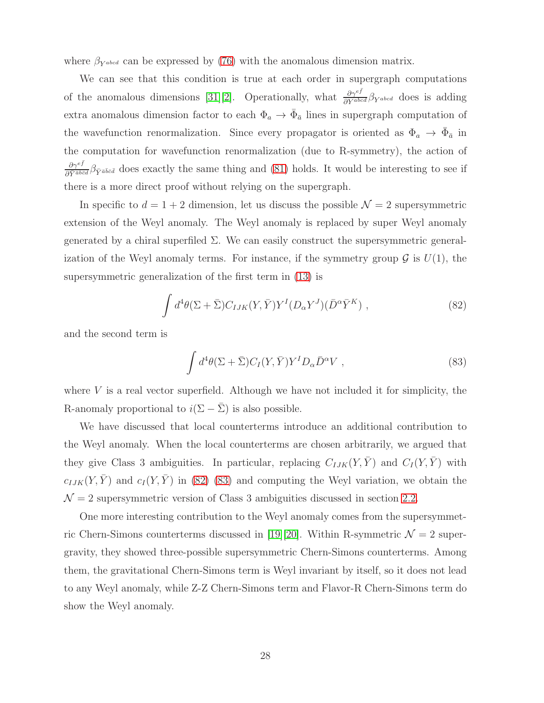where  $\beta_{Y^{abcd}}$  can be expressed by [\(76\)](#page-27-0) with the anomalous dimension matrix.

We can see that this condition is true at each order in supergraph computations of the anomalous dimensions [\[31\]](#page-39-8)[\[2\]](#page-37-1). Operationally, what  $\frac{\partial \gamma^{e\bar{f}}}{\partial Y^{abcd}} \beta_{Y^{abcd}}$  does is adding extra anomalous dimension factor to each  $\Phi_a \to \bar{\Phi}_{\bar{a}}$  lines in supergraph computation of the wavefunction renormalization. Since every propagator is oriented as  $\Phi_a \to \bar{\Phi}_{\bar{a}}$  in the computation for wavefunction renormalization (due to R-symmetry), the action of  $\frac{\partial \gamma^{e\bar{f}}}{\partial \bar{Y}^{\bar{a}\bar{b}\bar{c}\bar{d}}} \beta_{\bar{Y}^{\bar{a}\bar{b}\bar{c}\bar{d}}}$  does exactly the same thing and [\(81\)](#page-27-1) holds. It would be interesting to see if there is a more direct proof without relying on the supergraph.

In specific to  $d = 1 + 2$  dimension, let us discuss the possible  $\mathcal{N} = 2$  supersymmetric extension of the Weyl anomaly. The Weyl anomaly is replaced by super Weyl anomaly generated by a chiral superfiled  $\Sigma$ . We can easily construct the supersymmetric generalization of the Weyl anomaly terms. For instance, if the symmetry group  $\mathcal G$  is  $U(1)$ , the supersymmetric generalization of the first term in [\(13\)](#page-7-2) is

$$
\int d^4\theta (\Sigma + \bar{\Sigma}) C_{IJK}(Y, \bar{Y}) Y^I (D_\alpha Y^J) (\bar{D}^\alpha \bar{Y}^K) , \qquad (82)
$$

and the second term is

<span id="page-28-1"></span><span id="page-28-0"></span>
$$
\int d^4\theta (\Sigma + \bar{\Sigma}) C_I(Y, \bar{Y}) Y^I D_\alpha \bar{D}^\alpha V , \qquad (83)
$$

where  $V$  is a real vector superfield. Although we have not included it for simplicity, the R-anomaly proportional to  $i(\Sigma - \overline{\Sigma})$  is also possible.

We have discussed that local counterterms introduce an additional contribution to the Weyl anomaly. When the local counterterms are chosen arbitrarily, we argued that they give Class 3 ambiguities. In particular, replacing  $C_{IJK}(Y,\bar{Y})$  and  $C_I(Y,\bar{Y})$  with  $c_{IJK}(Y,\bar{Y})$  and  $c_I(Y,\bar{Y})$  in [\(82\)](#page-28-0) [\(83\)](#page-28-1) and computing the Weyl variation, we obtain the  $\mathcal{N} = 2$  supersymmetric version of Class 3 ambiguities discussed in section [2.2.](#page-10-0)

One more interesting contribution to the Weyl anomaly comes from the supersymmet-ric Chern-Simons counterterms discussed in [\[19\]](#page-38-13)[\[20\]](#page-38-14). Within R-symmetric  $\mathcal{N} = 2$  supergravity, they showed three-possible supersymmetric Chern-Simons counterterms. Among them, the gravitational Chern-Simons term is Weyl invariant by itself, so it does not lead to any Weyl anomaly, while Z-Z Chern-Simons term and Flavor-R Chern-Simons term do show the Weyl anomaly.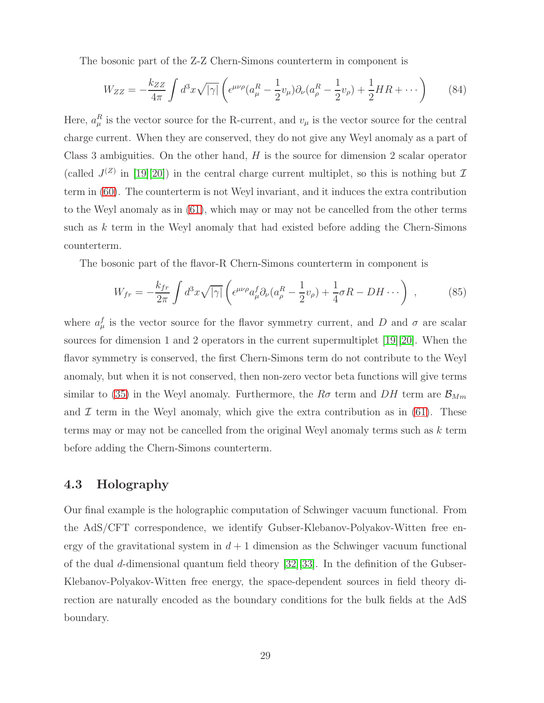The bosonic part of the Z-Z Chern-Simons counterterm in component is

$$
W_{ZZ} = -\frac{k_{ZZ}}{4\pi} \int d^3x \sqrt{|\gamma|} \left( \epsilon^{\mu\nu\rho} (a_\mu^R - \frac{1}{2} v_\mu) \partial_\nu (a_\rho^R - \frac{1}{2} v_\rho) + \frac{1}{2} HR + \cdots \right) \tag{84}
$$

Here,  $a_{\mu}^{R}$  is the vector source for the R-current, and  $v_{\mu}$  is the vector source for the central charge current. When they are conserved, they do not give any Weyl anomaly as a part of Class 3 ambiguities. On the other hand,  $H$  is the source for dimension 2 scalar operator (called  $J^{(Z)}$  in [\[19\]](#page-38-13)[\[20\]](#page-38-14)) in the central charge current multiplet, so this is nothing but  $\mathcal I$ term in [\(60\)](#page-21-1). The counterterm is not Weyl invariant, and it induces the extra contribution to the Weyl anomaly as in [\(61\)](#page-21-2), which may or may not be cancelled from the other terms such as  $k$  term in the Weyl anomaly that had existed before adding the Chern-Simons counterterm.

The bosonic part of the flavor-R Chern-Simons counterterm in component is

$$
W_{fr} = -\frac{k_{fr}}{2\pi} \int d^3x \sqrt{|\gamma|} \left( \epsilon^{\mu\nu\rho} a^f_{\mu} \partial_{\nu} (a^R_{\rho} - \frac{1}{2} v_{\rho}) + \frac{1}{4} \sigma R - DH \cdots \right) , \qquad (85)
$$

where  $a_{\mu}^{f}$  is the vector source for the flavor symmetry current, and D and  $\sigma$  are scalar sources for dimension 1 and 2 operators in the current supermultiplet [\[19\]](#page-38-13)[\[20\]](#page-38-14). When the flavor symmetry is conserved, the first Chern-Simons term do not contribute to the Weyl anomaly, but when it is not conserved, then non-zero vector beta functions will give terms similar to [\(35\)](#page-14-2) in the Weyl anomaly. Furthermore, the  $R\sigma$  term and  $DH$  term are  $\mathcal{B}_{Mm}$ and  $\mathcal I$  term in the Weyl anomaly, which give the extra contribution as in [\(61\)](#page-21-2). These terms may or may not be cancelled from the original Weyl anomaly terms such as  $k$  term before adding the Chern-Simons counterterm.

### 4.3 Holography

Our final example is the holographic computation of Schwinger vacuum functional. From the AdS/CFT correspondence, we identify Gubser-Klebanov-Polyakov-Witten free energy of the gravitational system in  $d+1$  dimension as the Schwinger vacuum functional of the dual d-dimensional quantum field theory [\[32\]](#page-39-9)[\[33\]](#page-39-10). In the definition of the Gubser-Klebanov-Polyakov-Witten free energy, the space-dependent sources in field theory direction are naturally encoded as the boundary conditions for the bulk fields at the AdS boundary.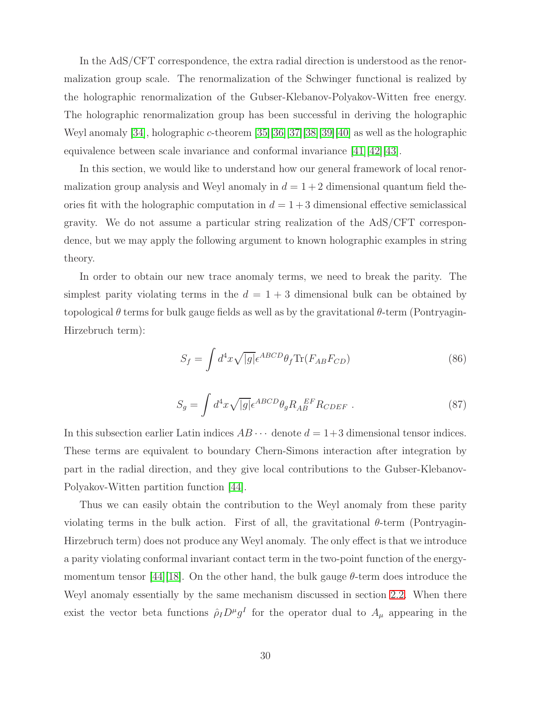In the AdS/CFT correspondence, the extra radial direction is understood as the renormalization group scale. The renormalization of the Schwinger functional is realized by the holographic renormalization of the Gubser-Klebanov-Polyakov-Witten free energy. The holographic renormalization group has been successful in deriving the holographic Weyl anomaly [\[34\]](#page-39-11), holographic c-theorem [\[35\]](#page-39-12)[\[36\]](#page-39-13)[\[37\]](#page-39-14)[\[38\]](#page-39-15)[\[39\]](#page-39-16)[\[40\]](#page-39-17) as well as the holographic equivalence between scale invariance and conformal invariance  $[41][42][43]$  $[41][42][43]$  $[41][42][43]$ .

In this section, we would like to understand how our general framework of local renormalization group analysis and Weyl anomaly in  $d = 1 + 2$  dimensional quantum field theories fit with the holographic computation in  $d = 1 + 3$  dimensional effective semiclassical gravity. We do not assume a particular string realization of the AdS/CFT correspondence, but we may apply the following argument to known holographic examples in string theory.

In order to obtain our new trace anomaly terms, we need to break the parity. The simplest parity violating terms in the  $d = 1 + 3$  dimensional bulk can be obtained by topological  $\theta$  terms for bulk gauge fields as well as by the gravitational  $\theta$ -term (Pontryagin-Hirzebruch term):

$$
S_f = \int d^4x \sqrt{|g|} \epsilon^{ABCD} \theta_f \text{Tr}(F_{AB} F_{CD}) \tag{86}
$$

$$
S_g = \int d^4x \sqrt{|g|} \epsilon^{ABCD} \theta_g R_{AB}^{EF} R_{CDEF} \tag{87}
$$

In this subsection earlier Latin indices  $AB \cdots$  denote  $d = 1+3$  dimensional tensor indices. These terms are equivalent to boundary Chern-Simons interaction after integration by part in the radial direction, and they give local contributions to the Gubser-Klebanov-Polyakov-Witten partition function [\[44\]](#page-40-2).

Thus we can easily obtain the contribution to the Weyl anomaly from these parity violating terms in the bulk action. First of all, the gravitational  $\theta$ -term (Pontryagin-Hirzebruch term) does not produce any Weyl anomaly. The only effect is that we introduce a parity violating conformal invariant contact term in the two-point function of the energy-momentum tensor [\[44\]](#page-40-2)[\[18\]](#page-38-12). On the other hand, the bulk gauge  $\theta$ -term does introduce the Weyl anomaly essentially by the same mechanism discussed in section [2.2.](#page-10-0) When there exist the vector beta functions  $\hat{\rho}_I D^{\mu} g^I$  for the operator dual to  $A_{\mu}$  appearing in the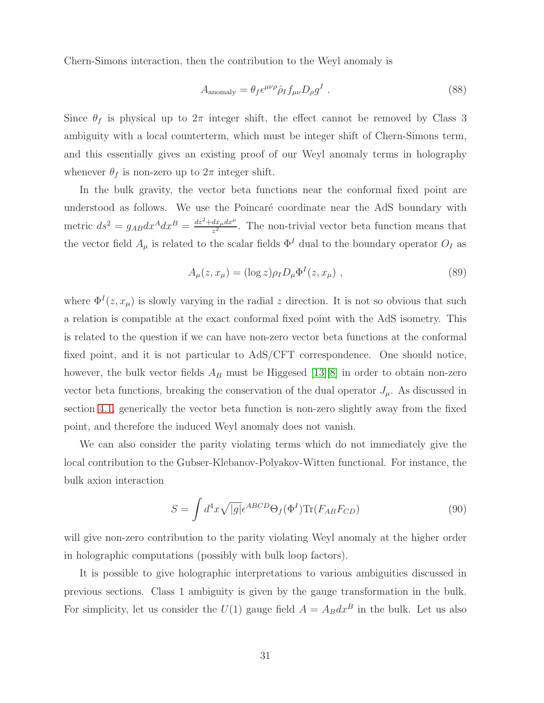Chern-Simons interaction, then the contribution to the Weyl anomaly is

$$
A_{\text{anomaly}} = \theta_f \epsilon^{\mu\nu\rho} \hat{\rho}_I f_{\mu\nu} D_\rho g^I \tag{88}
$$

Since  $\theta_f$  is physical up to  $2\pi$  integer shift, the effect cannot be removed by Class 3 ambiguity with a local counterterm, which must be integer shift of Chern-Simons term, and this essentially gives an existing proof of our Weyl anomaly terms in holography whenever  $\theta_f$  is non-zero up to  $2\pi$  integer shift.

In the bulk gravity, the vector beta functions near the conformal fixed point are understood as follows. We use the Poincaré coordinate near the AdS boundary with metric  $ds^2 = g_{AB}dx^A dx^B = \frac{dz^2 + dx_\mu dx^\mu}{z^2}$  $\frac{dx_\mu dx_\nu}{z^2}$ . The non-trivial vector beta function means that the vector field  $A_\mu$  is related to the scalar fields  $\Phi^I$  dual to the boundary operator  $O_I$  as

$$
A_{\mu}(z, x_{\mu}) = (\log z) \rho_I D_{\mu} \Phi^I(z, x_{\mu}), \qquad (89)
$$

where  $\Phi^{I}(z, x_{\mu})$  is slowly varying in the radial z direction. It is not so obvious that such a relation is compatible at the exact conformal fixed point with the AdS isometry. This is related to the question if we can have non-zero vector beta functions at the conformal fixed point, and it is not particular to AdS/CFT correspondence. One should notice, however, the bulk vector fields  $A_B$  must be Higgesed [\[13\]](#page-38-5)[\[8\]](#page-38-2) in order to obtain non-zero vector beta functions, breaking the conservation of the dual operator  $J_{\mu}$ . As discussed in section [4.1,](#page-23-2) generically the vector beta function is non-zero slightly away from the fixed point, and therefore the induced Weyl anomaly does not vanish.

We can also consider the parity violating terms which do not immediately give the local contribution to the Gubser-Klebanov-Polyakov-Witten functional. For instance, the bulk axion interaction

$$
S = \int d^4x \sqrt{|g|} \epsilon^{ABCD} \Theta_f(\Phi^I) \text{Tr}(F_{AB} F_{CD})
$$
\n(90)

will give non-zero contribution to the parity violating Weyl anomaly at the higher order in holographic computations (possibly with bulk loop factors).

It is possible to give holographic interpretations to various ambiguities discussed in previous sections. Class 1 ambiguity is given by the gauge transformation in the bulk. For simplicity, let us consider the  $U(1)$  gauge field  $A = A_B dx^B$  in the bulk. Let us also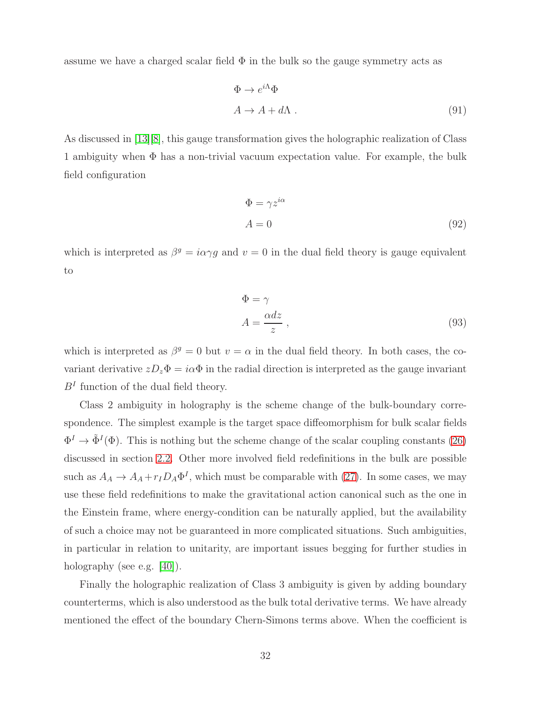assume we have a charged scalar field  $\Phi$  in the bulk so the gauge symmetry acts as

$$
\Phi \to e^{i\Lambda} \Phi
$$
  
\n
$$
A \to A + d\Lambda .
$$
\n(91)

As discussed in [\[13\]](#page-38-5)[\[8\]](#page-38-2), this gauge transformation gives the holographic realization of Class 1 ambiguity when Φ has a non-trivial vacuum expectation value. For example, the bulk field configuration

$$
\Phi = \gamma z^{i\alpha} \nA = 0
$$
\n(92)

which is interpreted as  $\beta^g = i\alpha \gamma g$  and  $v = 0$  in the dual field theory is gauge equivalent to

$$
\Phi = \gamma
$$
  
\n
$$
A = \frac{\alpha dz}{z},
$$
\n(93)

which is interpreted as  $\beta^g = 0$  but  $v = \alpha$  in the dual field theory. In both cases, the covariant derivative  $zD_z\Phi = i\alpha\Phi$  in the radial direction is interpreted as the gauge invariant  $B<sup>I</sup>$  function of the dual field theory.

Class 2 ambiguity in holography is the scheme change of the bulk-boundary correspondence. The simplest example is the target space diffeomorphism for bulk scalar fields  $\Phi^I \to \tilde{\Phi}^I(\Phi)$ . This is nothing but the scheme change of the scalar coupling constants [\(26\)](#page-12-3) discussed in section [2.2.](#page-10-0) Other more involved field redefinitions in the bulk are possible such as  $A_A \to A_A + r_I D_A \Phi^I$ , which must be comparable with [\(27\)](#page-12-4). In some cases, we may use these field redefinitions to make the gravitational action canonical such as the one in the Einstein frame, where energy-condition can be naturally applied, but the availability of such a choice may not be guaranteed in more complicated situations. Such ambiguities, in particular in relation to unitarity, are important issues begging for further studies in holography (see e.g. [\[40\]](#page-39-17)).

Finally the holographic realization of Class 3 ambiguity is given by adding boundary counterterms, which is also understood as the bulk total derivative terms. We have already mentioned the effect of the boundary Chern-Simons terms above. When the coefficient is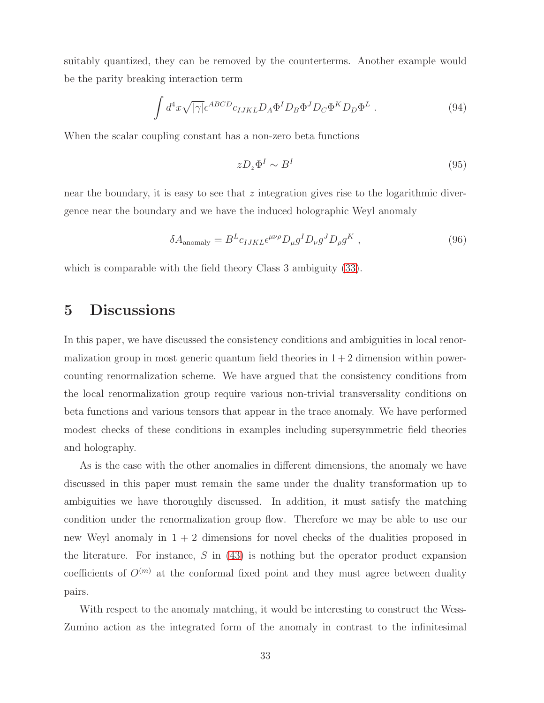suitably quantized, they can be removed by the counterterms. Another example would be the parity breaking interaction term

$$
\int d^4x \sqrt{|\gamma|} \epsilon^{ABCD} c_{IJKL} D_A \Phi^I D_B \Phi^J D_C \Phi^K D_D \Phi^L . \tag{94}
$$

When the scalar coupling constant has a non-zero beta functions

$$
zD_z\Phi^I \sim B^I \tag{95}
$$

near the boundary, it is easy to see that  $z$  integration gives rise to the logarithmic divergence near the boundary and we have the induced holographic Weyl anomaly

$$
\delta A_{\text{anomaly}} = B^L c_{IJKL} \epsilon^{\mu\nu\rho} D_{\mu} g^I D_{\nu} g^J D_{\rho} g^K , \qquad (96)
$$

<span id="page-33-0"></span>which is comparable with the field theory Class 3 ambiguity [\(33\)](#page-13-1).

# 5 Discussions

In this paper, we have discussed the consistency conditions and ambiguities in local renormalization group in most generic quantum field theories in  $1+2$  dimension within powercounting renormalization scheme. We have argued that the consistency conditions from the local renormalization group require various non-trivial transversality conditions on beta functions and various tensors that appear in the trace anomaly. We have performed modest checks of these conditions in examples including supersymmetric field theories and holography.

As is the case with the other anomalies in different dimensions, the anomaly we have discussed in this paper must remain the same under the duality transformation up to ambiguities we have thoroughly discussed. In addition, it must satisfy the matching condition under the renormalization group flow. Therefore we may be able to use our new Weyl anomaly in  $1 + 2$  dimensions for novel checks of the dualities proposed in the literature. For instance,  $S$  in [\(43\)](#page-16-2) is nothing but the operator product expansion coefficients of  $O^{(m)}$  at the conformal fixed point and they must agree between duality pairs.

With respect to the anomaly matching, it would be interesting to construct the Wess-Zumino action as the integrated form of the anomaly in contrast to the infinitesimal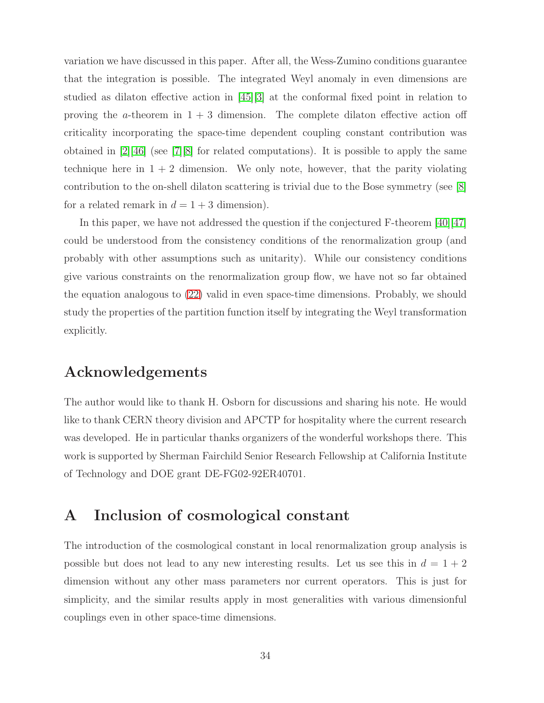variation we have discussed in this paper. After all, the Wess-Zumino conditions guarantee that the integration is possible. The integrated Weyl anomaly in even dimensions are studied as dilaton effective action in [\[45\]](#page-40-3)[\[3\]](#page-37-2) at the conformal fixed point in relation to proving the *a*-theorem in  $1 + 3$  dimension. The complete dilaton effective action off criticality incorporating the space-time dependent coupling constant contribution was obtained in  $\lfloor 2 \rfloor \lfloor 46 \rfloor$  (see  $\lfloor 7 \rfloor \lfloor 8 \rfloor$  for related computations). It is possible to apply the same technique here in  $1 + 2$  dimension. We only note, however, that the parity violating contribution to the on-shell dilaton scattering is trivial due to the Bose symmetry (see [\[8\]](#page-38-2) for a related remark in  $d = 1 + 3$  dimension).

In this paper, we have not addressed the question if the conjectured F-theorem  $[40][47]$  $[40][47]$ could be understood from the consistency conditions of the renormalization group (and probably with other assumptions such as unitarity). While our consistency conditions give various constraints on the renormalization group flow, we have not so far obtained the equation analogous to [\(22\)](#page-10-1) valid in even space-time dimensions. Probably, we should study the properties of the partition function itself by integrating the Weyl transformation explicitly.

## Acknowledgements

The author would like to thank H. Osborn for discussions and sharing his note. He would like to thank CERN theory division and APCTP for hospitality where the current research was developed. He in particular thanks organizers of the wonderful workshops there. This work is supported by Sherman Fairchild Senior Research Fellowship at California Institute of Technology and DOE grant DE-FG02-92ER40701.

# <span id="page-34-0"></span>A Inclusion of cosmological constant

The introduction of the cosmological constant in local renormalization group analysis is possible but does not lead to any new interesting results. Let us see this in  $d = 1 + 2$ dimension without any other mass parameters nor current operators. This is just for simplicity, and the similar results apply in most generalities with various dimensionful couplings even in other space-time dimensions.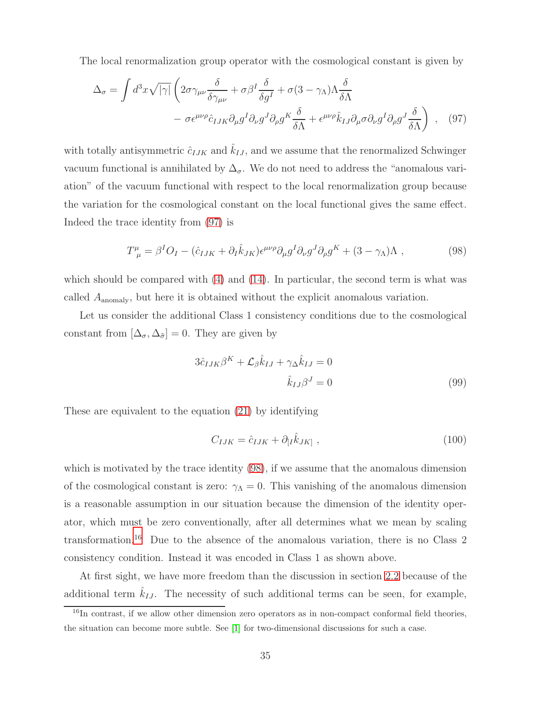The local renormalization group operator with the cosmological constant is given by

$$
\Delta_{\sigma} = \int d^{3}x \sqrt{|\gamma|} \left( 2\sigma \gamma_{\mu\nu} \frac{\delta}{\delta \gamma_{\mu\nu}} + \sigma \beta^{I} \frac{\delta}{\delta g^{I}} + \sigma (3 - \gamma_{\Lambda}) \Lambda \frac{\delta}{\delta \Lambda} - \sigma \epsilon^{\mu\nu\rho} \hat{c}_{IJK} \partial_{\mu} g^{I} \partial_{\nu} g^{J} \partial_{\rho} g^{K} \frac{\delta}{\delta \Lambda} + \epsilon^{\mu\nu\rho} \hat{k}_{IJ} \partial_{\mu} \sigma \partial_{\nu} g^{I} \partial_{\rho} g^{J} \frac{\delta}{\delta \Lambda} \right) , \quad (97)
$$

with totally antisymmetric  $\hat{c}_{IJK}$  and  $\hat{k}_{IJ}$ , and we assume that the renormalized Schwinger vacuum functional is annihilated by  $\Delta_{\sigma}$ . We do not need to address the "anomalous variation" of the vacuum functional with respect to the local renormalization group because the variation for the cosmological constant on the local functional gives the same effect. Indeed the trace identity from [\(97\)](#page-35-0) is

<span id="page-35-0"></span>
$$
T^{\mu}_{\ \mu} = \beta^{I}O_{I} - (\hat{c}_{IJK} + \partial_{I}\hat{k}_{JK})\epsilon^{\mu\nu\rho}\partial_{\mu}g^{I}\partial_{\nu}g^{J}\partial_{\rho}g^{K} + (3 - \gamma_{\Lambda})\Lambda , \qquad (98)
$$

which should be compared with  $(4)$  and  $(14)$ . In particular, the second term is what was called Aanomaly, but here it is obtained without the explicit anomalous variation.

Let us consider the additional Class 1 consistency conditions due to the cosmological constant from  $[\Delta_{\sigma}, \Delta_{\tilde{\sigma}}] = 0$ . They are given by

<span id="page-35-1"></span>
$$
3\hat{c}_{IJK}\beta^K + \mathcal{L}_{\beta}\hat{k}_{IJ} + \gamma_{\Delta}\hat{k}_{IJ} = 0
$$
  

$$
\hat{k}_{IJ}\beta^J = 0
$$
 (99)

These are equivalent to the equation [\(21\)](#page-9-2) by identifying

<span id="page-35-4"></span><span id="page-35-3"></span>
$$
C_{IJK} = \hat{c}_{IJK} + \partial_{[I}\hat{k}_{JK]}, \qquad (100)
$$

which is motivated by the trace identity [\(98\)](#page-35-1), if we assume that the anomalous dimension of the cosmological constant is zero:  $\gamma_{\Lambda} = 0$ . This vanishing of the anomalous dimension is a reasonable assumption in our situation because the dimension of the identity operator, which must be zero conventionally, after all determines what we mean by scaling transformation.[16](#page-35-2) Due to the absence of the anomalous variation, there is no Class 2 consistency condition. Instead it was encoded in Class 1 as shown above.

At first sight, we have more freedom than the discussion in section [2.2](#page-10-0) because of the additional term  $\hat{k}_{IJ}$ . The necessity of such additional terms can be seen, for example,

<span id="page-35-2"></span><sup>&</sup>lt;sup>16</sup>In contrast, if we allow other dimension zero operators as in non-compact conformal field theories, the situation can become more subtle. See [\[1\]](#page-37-0) for two-dimensional discussions for such a case.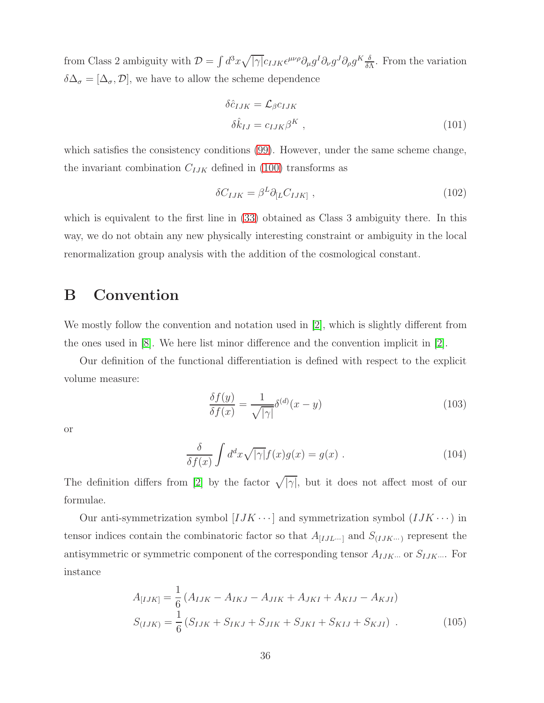from Class 2 ambiguity with  $\mathcal{D} = \int d^3x \sqrt{|\gamma|} c_{IJK} \epsilon^{\mu\nu\rho} \partial_\mu g^I \partial_\nu g^J \partial_\rho g^K \frac{\delta}{\delta I}$  $\frac{\delta}{\delta \Lambda}$ . From the variation  $\delta\Delta_{\sigma}=[\Delta_{\sigma},\mathcal{D}],$  we have to allow the scheme dependence

$$
\delta \hat{c}_{IJK} = \mathcal{L}_{\beta} c_{IJK}
$$
  

$$
\delta \hat{k}_{IJ} = c_{IJK} \beta^K ,
$$
 (101)

which satisfies the consistency conditions [\(99\)](#page-35-3). However, under the same scheme change, the invariant combination  $C_{IJK}$  defined in [\(100\)](#page-35-4) transforms as

$$
\delta C_{IJK} = \beta^L \partial_{[L} C_{IJK]}, \qquad (102)
$$

which is equivalent to the first line in [\(33\)](#page-13-1) obtained as Class 3 ambiguity there. In this way, we do not obtain any new physically interesting constraint or ambiguity in the local renormalization group analysis with the addition of the cosmological constant.

## <span id="page-36-0"></span>B Convention

We mostly follow the convention and notation used in [\[2\]](#page-37-1), which is slightly different from the ones used in [\[8\]](#page-38-2). We here list minor difference and the convention implicit in [\[2\]](#page-37-1).

Our definition of the functional differentiation is defined with respect to the explicit volume measure:

$$
\frac{\delta f(y)}{\delta f(x)} = \frac{1}{\sqrt{|\gamma|}} \delta^{(d)}(x - y) \tag{103}
$$

or

$$
\frac{\delta}{\delta f(x)} \int d^d x \sqrt{|\gamma|} f(x) g(x) = g(x) . \qquad (104)
$$

The definition differs from [\[2\]](#page-37-1) by the factor  $\sqrt{|\gamma|}$ , but it does not affect most of our formulae.

Our anti-symmetrization symbol  $[IJK\cdots]$  and symmetrization symbol  $(IJK\cdots)$  in tensor indices contain the combinatoric factor so that  $A_{[I J L \cdots]}$  and  $S_{(I J K \cdots)}$  represent the antisymmetric or symmetric component of the corresponding tensor  $A_{IJK\cdots}$  or  $S_{IJK\cdots}$ . For instance

$$
A_{[IJK]} = \frac{1}{6} (A_{IJK} - A_{IKJ} - A_{JIK} + A_{JKI} + A_{KIJ} - A_{KJI})
$$
  

$$
S_{(IJK)} = \frac{1}{6} (S_{IJK} + S_{IKJ} + S_{JIK} + S_{JKI} + S_{KIJ} + S_{KJI}).
$$
 (105)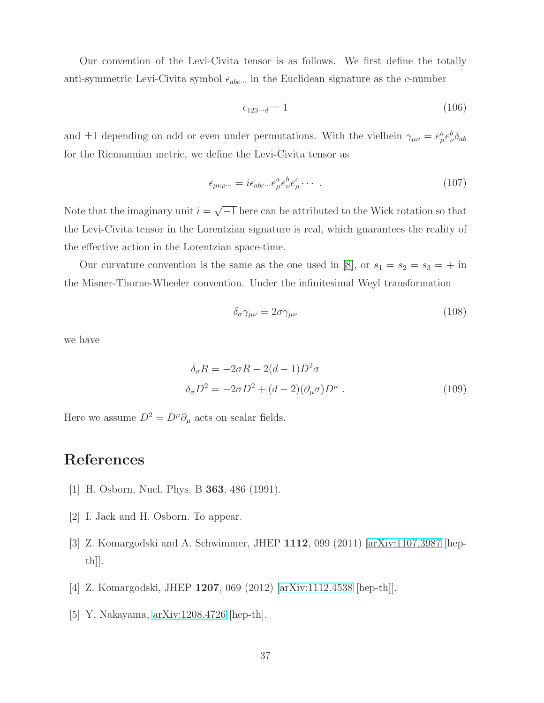Our convention of the Levi-Civita tensor is as follows. We first define the totally anti-symmetric Levi-Civita symbol  $\epsilon_{abc\cdots}$  in the Euclidean signature as the c-number

$$
\epsilon_{123\cdots d} = 1\tag{106}
$$

and  $\pm 1$  depending on odd or even under permutations. With the vielbein  $\gamma_{\mu\nu} = e^a_\mu e^b_\nu \delta_{ab}$ for the Riemannian metric, we define the Levi-Civita tensor as

$$
\epsilon_{\mu\nu\rho\cdots} = i\epsilon_{abc\cdots}e^a_\mu e^b_\nu e^c_\rho \cdots \,. \tag{107}
$$

Note that the imaginary unit  $i = \sqrt{-1}$  here can be attributed to the Wick rotation so that the Levi-Civita tensor in the Lorentzian signature is real, which guarantees the reality of the effective action in the Lorentzian space-time.

Our curvature convention is the same as the one used in [\[8\]](#page-38-2), or  $s_1 = s_2 = s_3 = +$  in the Misner-Thorne-Wheeler convention. Under the infinitesimal Weyl transformation

$$
\delta_{\sigma} \gamma_{\mu\nu} = 2\sigma \gamma_{\mu\nu} \tag{108}
$$

we have

$$
\delta_{\sigma} R = -2\sigma R - 2(d - 1)D^2 \sigma
$$
  

$$
\delta_{\sigma} D^2 = -2\sigma D^2 + (d - 2)(\partial_{\mu} \sigma)D^{\mu} .
$$
 (109)

Here we assume  $D^2=D^\mu\partial_\mu$  acts on scalar fields.

## <span id="page-37-0"></span>References

- <span id="page-37-1"></span>[1] H. Osborn, Nucl. Phys. B 363, 486 (1991).
- <span id="page-37-2"></span>[2] I. Jack and H. Osborn. To appear.
- <span id="page-37-3"></span>[3] Z. Komargodski and A. Schwimmer, JHEP 1112, 099 (2011) [\[arXiv:1107.3987](http://arxiv.org/abs/1107.3987) [hepth]].
- <span id="page-37-4"></span>[4] Z. Komargodski, JHEP 1207, 069 (2012) [\[arXiv:1112.4538](http://arxiv.org/abs/1112.4538) [hep-th]].
- [5] Y. Nakayama, [arXiv:1208.4726](http://arxiv.org/abs/1208.4726) [hep-th].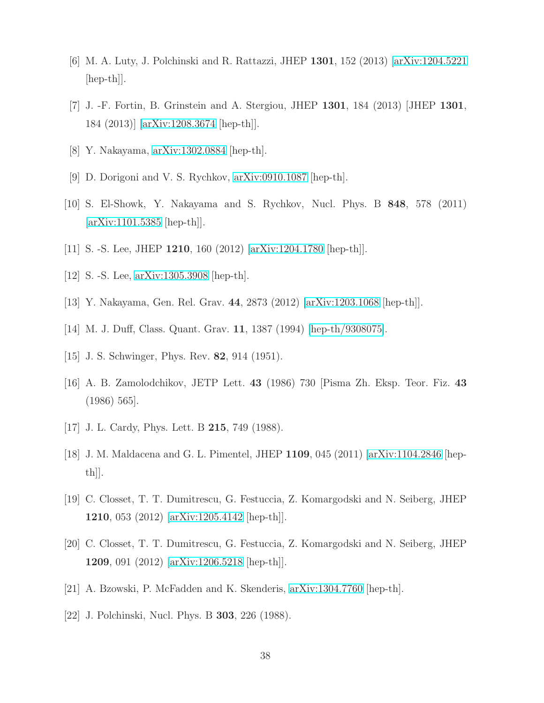- <span id="page-38-1"></span><span id="page-38-0"></span>[6] M. A. Luty, J. Polchinski and R. Rattazzi, JHEP 1301, 152 (2013) [\[arXiv:1204.5221](http://arxiv.org/abs/1204.5221)  $\vert \text{hep-th} \vert$ .
- <span id="page-38-2"></span>[7] J. -F. Fortin, B. Grinstein and A. Stergiou, JHEP 1301, 184 (2013) [JHEP 1301, 184 (2013)] [\[arXiv:1208.3674](http://arxiv.org/abs/1208.3674) [hep-th]].
- <span id="page-38-7"></span>[8] Y. Nakayama, [arXiv:1302.0884](http://arxiv.org/abs/1302.0884) [hep-th].
- <span id="page-38-8"></span>[9] D. Dorigoni and V. S. Rychkov, [arXiv:0910.1087](http://arxiv.org/abs/0910.1087) [hep-th].
- <span id="page-38-3"></span>[10] S. El-Showk, Y. Nakayama and S. Rychkov, Nucl. Phys. B 848, 578 (2011)  $\arXiv:1101.5385$  [hep-th].
- <span id="page-38-4"></span>[11] S. -S. Lee, JHEP 1210, 160 (2012) [\[arXiv:1204.1780](http://arxiv.org/abs/1204.1780) [hep-th]].
- <span id="page-38-5"></span>[12] S. -S. Lee, [arXiv:1305.3908](http://arxiv.org/abs/1305.3908) [hep-th].
- <span id="page-38-6"></span>[13] Y. Nakayama, Gen. Rel. Grav. 44, 2873 (2012) [\[arXiv:1203.1068](http://arxiv.org/abs/1203.1068) [hep-th]].
- <span id="page-38-9"></span>[14] M. J. Duff, Class. Quant. Grav. 11, 1387 (1994) [\[hep-th/9308075\]](http://arxiv.org/abs/hep-th/9308075).
- <span id="page-38-10"></span>[15] J. S. Schwinger, Phys. Rev. **82**, 914 (1951).
- <span id="page-38-11"></span>[16] A. B. Zamolodchikov, JETP Lett. 43 (1986) 730 [Pisma Zh. Eksp. Teor. Fiz. 43 (1986) 565].
- <span id="page-38-12"></span>[17] J. L. Cardy, Phys. Lett. B **215**, 749 (1988).
- <span id="page-38-13"></span>[18] J. M. Maldacena and G. L. Pimentel, JHEP 1109, 045 (2011) [\[arXiv:1104.2846](http://arxiv.org/abs/1104.2846) [hepth]].
- <span id="page-38-14"></span>[19] C. Closset, T. T. Dumitrescu, G. Festuccia, Z. Komargodski and N. Seiberg, JHEP 1210, 053 (2012) [\[arXiv:1205.4142](http://arxiv.org/abs/1205.4142) [hep-th]].
- <span id="page-38-15"></span>[20] C. Closset, T. T. Dumitrescu, G. Festuccia, Z. Komargodski and N. Seiberg, JHEP 1209, 091 (2012) [\[arXiv:1206.5218](http://arxiv.org/abs/1206.5218) [hep-th]].
- <span id="page-38-16"></span>[21] A. Bzowski, P. McFadden and K. Skenderis, [arXiv:1304.7760](http://arxiv.org/abs/1304.7760) [hep-th].
- [22] J. Polchinski, Nucl. Phys. B 303, 226 (1988).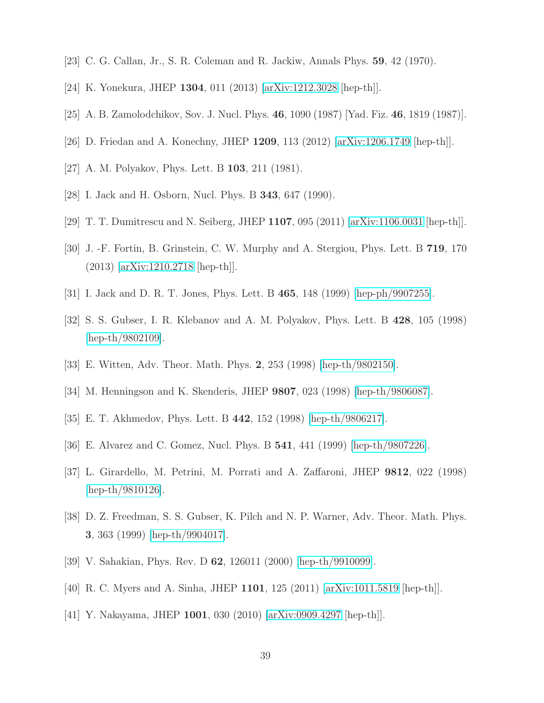- <span id="page-39-1"></span><span id="page-39-0"></span>[23] C. G. Callan, Jr., S. R. Coleman and R. Jackiw, Annals Phys. 59, 42 (1970).
- <span id="page-39-2"></span>[24] K. Yonekura, JHEP 1304, 011 (2013) [\[arXiv:1212.3028](http://arxiv.org/abs/1212.3028) [hep-th]].
- <span id="page-39-3"></span>[25] A. B. Zamolodchikov, Sov. J. Nucl. Phys. 46, 1090 (1987) [Yad. Fiz. 46, 1819 (1987)].
- <span id="page-39-4"></span>[26] D. Friedan and A. Konechny, JHEP 1209, 113 (2012) [\[arXiv:1206.1749](http://arxiv.org/abs/1206.1749) [hep-th]].
- <span id="page-39-5"></span>[27] A. M. Polyakov, Phys. Lett. B 103, 211 (1981).
- <span id="page-39-6"></span>[28] I. Jack and H. Osborn, Nucl. Phys. B 343, 647 (1990).
- <span id="page-39-7"></span>[29] T. T. Dumitrescu and N. Seiberg, JHEP 1107, 095 (2011) [\[arXiv:1106.0031](http://arxiv.org/abs/1106.0031) [hep-th]].
- <span id="page-39-8"></span>[30] J. -F. Fortin, B. Grinstein, C. W. Murphy and A. Stergiou, Phys. Lett. B 719, 170 (2013) [\[arXiv:1210.2718](http://arxiv.org/abs/1210.2718) [hep-th]].
- <span id="page-39-9"></span>[31] I. Jack and D. R. T. Jones, Phys. Lett. B 465, 148 (1999) [\[hep-ph/9907255\]](http://arxiv.org/abs/hep-ph/9907255).
- <span id="page-39-10"></span>[32] S. S. Gubser, I. R. Klebanov and A. M. Polyakov, Phys. Lett. B 428, 105 (1998) [\[hep-th/9802109\]](http://arxiv.org/abs/hep-th/9802109).
- <span id="page-39-11"></span>[33] E. Witten, Adv. Theor. Math. Phys. 2, 253 (1998) [\[hep-th/9802150\]](http://arxiv.org/abs/hep-th/9802150).
- <span id="page-39-12"></span>[34] M. Henningson and K. Skenderis, JHEP 9807, 023 (1998) [\[hep-th/9806087\]](http://arxiv.org/abs/hep-th/9806087).
- <span id="page-39-13"></span>[35] E. T. Akhmedov, Phys. Lett. B 442, 152 (1998) [\[hep-th/9806217\]](http://arxiv.org/abs/hep-th/9806217).
- <span id="page-39-14"></span>[36] E. Alvarez and C. Gomez, Nucl. Phys. B 541, 441 (1999) [\[hep-th/9807226\]](http://arxiv.org/abs/hep-th/9807226).
- <span id="page-39-15"></span>[37] L. Girardello, M. Petrini, M. Porrati and A. Zaffaroni, JHEP 9812, 022 (1998) [\[hep-th/9810126\]](http://arxiv.org/abs/hep-th/9810126).
- <span id="page-39-16"></span>[38] D. Z. Freedman, S. S. Gubser, K. Pilch and N. P. Warner, Adv. Theor. Math. Phys. 3, 363 (1999) [\[hep-th/9904017\]](http://arxiv.org/abs/hep-th/9904017).
- <span id="page-39-17"></span>[39] V. Sahakian, Phys. Rev. D 62, 126011 (2000) [\[hep-th/9910099\]](http://arxiv.org/abs/hep-th/9910099).
- <span id="page-39-18"></span>[40] R. C. Myers and A. Sinha, JHEP 1101, 125 (2011) [\[arXiv:1011.5819](http://arxiv.org/abs/1011.5819) [hep-th]].
- [41] Y. Nakayama, JHEP 1001, 030 (2010) [\[arXiv:0909.4297](http://arxiv.org/abs/0909.4297) [hep-th]].